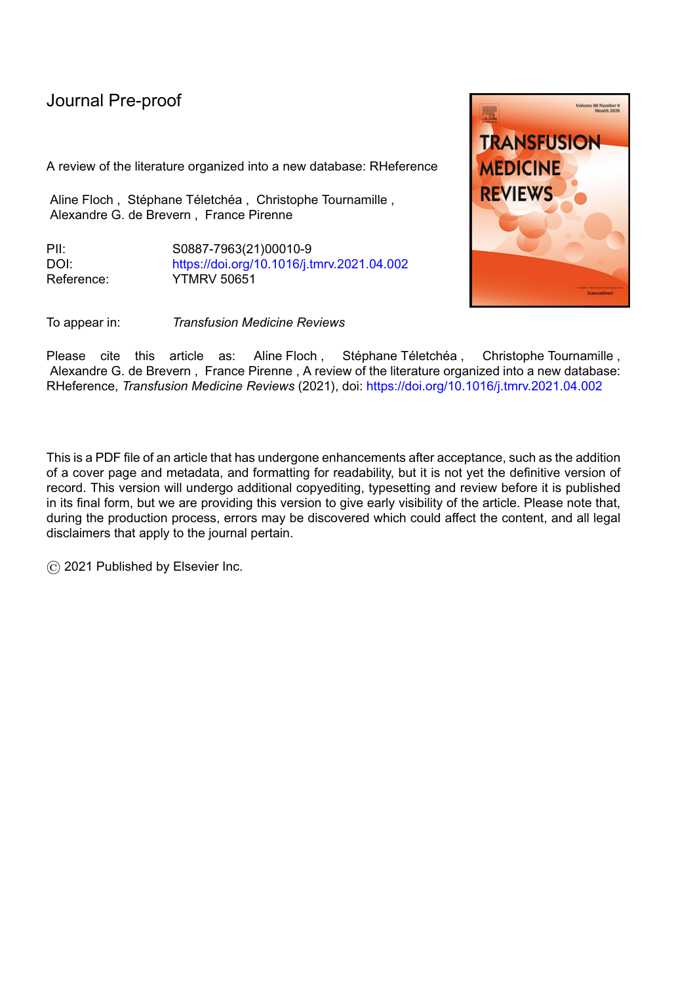A review of the literature organized into a new database: RHeference

Aline Floch, Stéphane Téletchéa, Christophe Tournamille, Alexandre G. de Brevern , France Pirenne

PII: S0887-7963(21)00010-9 DOI: <https://doi.org/10.1016/j.tmrv.2021.04.002> Reference: YTMRV 50651

To appear in: *Transfusion Medicine Reviews*

Please cite this article as: Aline-Floch, Stéphane-Téletchéa, Christophe-Tournamille, Alexandre G. de Brevern , France Pirenne , A review of the literature organized into a new database: RHeference, *Transfusion Medicine Reviews* (2021), doi: <https://doi.org/10.1016/j.tmrv.2021.04.002>

This is a PDF file of an article that has undergone enhancements after acceptance, such as the addition of a cover page and metadata, and formatting for readability, but it is not yet the definitive version of record. This version will undergo additional copyediting, typesetting and review before it is published in its final form, but we are providing this version to give early visibility of the article. Please note that, during the production process, errors may be discovered which could affect the content, and all legal disclaimers that apply to the journal pertain.

© 2021 Published by Elsevier Inc.

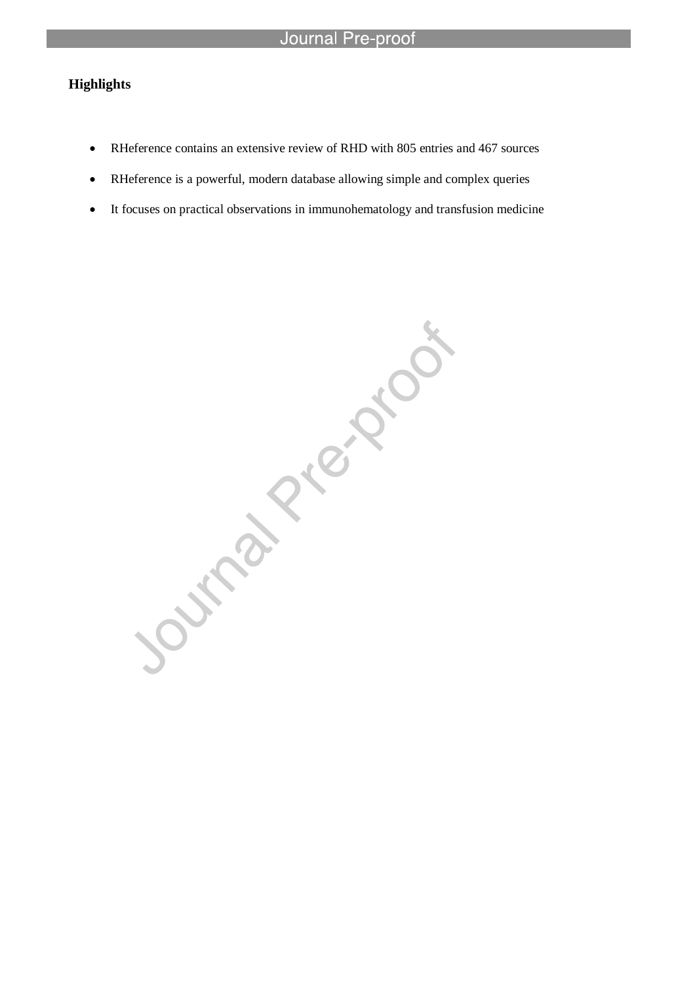### **Highlights**

RHeference contains an extensive review of RHD with 805 entries and 467 sources

l

- RHeference is a powerful, modern database allowing simple and complex queries
- It focuses on practical observations in immunohematology and transfusion medicine

Journal Piezziou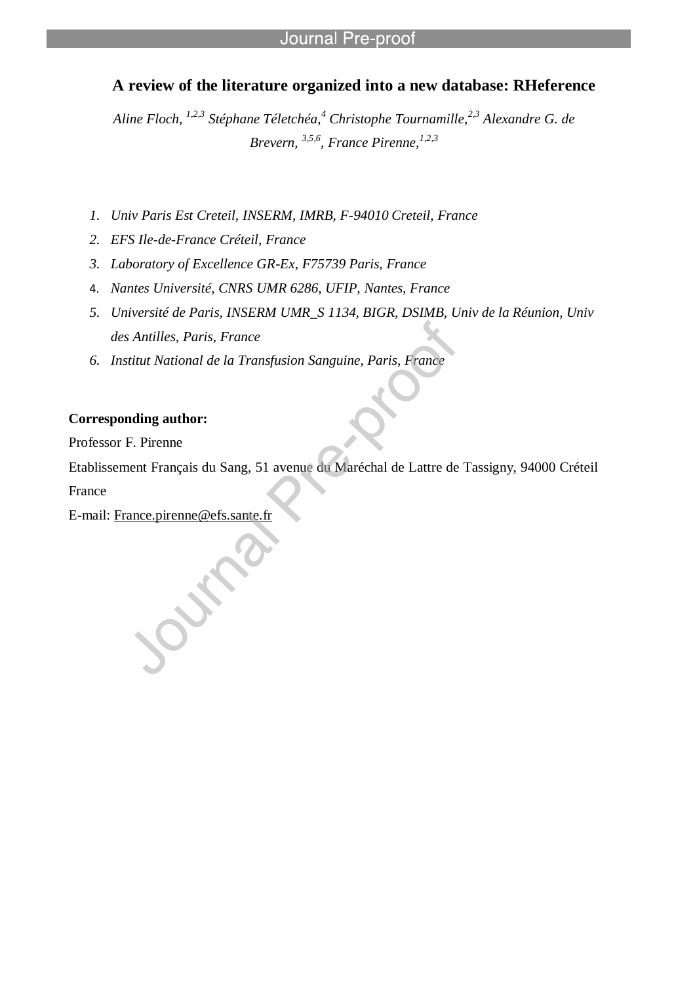# **A review of the literature organized into a new database: RHeference**

*Aline Floch, 1,2,3 Stéphane Téletchéa,<sup>4</sup> Christophe Tournamille,2,3 Alexandre G. de Brevern, 3,5,6, France Pirenne,1,2,3*

- *1. Univ Paris Est Creteil, INSERM, IMRB, F-94010 Creteil, France*
- *2. EFS Ile-de-France Créteil, France*
- *3. Laboratory of Excellence GR-Ex, F75739 Paris, France*

l

- 4. *Nantes Université, CNRS UMR 6286, UFIP, Nantes, France*
- *5. Université de Paris, INSERM UMR\_S 1134, BIGR, DSIMB, Univ de la Réunion, Univ des Antilles, Paris, France*
- *6. Institut National de la Transfusion Sanguine, Paris, France*

### **Corresponding author:**

Professor F. Pirenne

Etablissement Français du Sang, 51 avenue du Maréchal de Lattre de Tassigny, 94000 Créteil

France

E-mail: France.pirenne@efs.sante.fr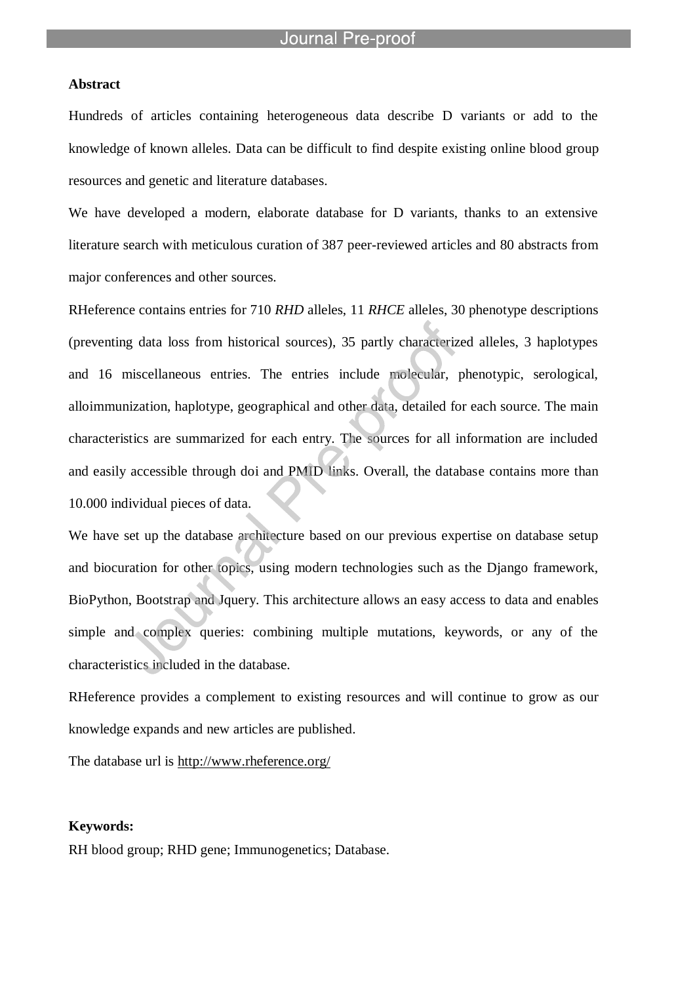l

#### **Abstract**

Hundreds of articles containing heterogeneous data describe D variants or add to the knowledge of known alleles. Data can be difficult to find despite existing online blood group resources and genetic and literature databases.

We have developed a modern, elaborate database for D variants, thanks to an extensive literature search with meticulous curation of 387 peer-reviewed articles and 80 abstracts from major conferences and other sources.

RHeference contains entries for 710 *RHD* alleles, 11 *RHCE* alleles, 30 phenotype descriptions (preventing data loss from historical sources), 35 partly characterized alleles, 3 haplotypes and 16 miscellaneous entries. The entries include molecular, phenotypic, serological, alloimmunization, haplotype, geographical and other data, detailed for each source. The main characteristics are summarized for each entry. The sources for all information are included and easily accessible through doi and PMID links. Overall, the database contains more than 10.000 individual pieces of data.

We have set up the database architecture based on our previous expertise on database setup and biocuration for other topics, using modern technologies such as the Django framework, BioPython, Bootstrap and Jquery. This architecture allows an easy access to data and enables simple and complex queries: combining multiple mutations, keywords, or any of the characteristics included in the database.

RHeference provides a complement to existing resources and will continue to grow as our knowledge expands and new articles are published.

The database url is http://www.rheference.org/

#### **Keywords:**

RH blood group; RHD gene; Immunogenetics; Database.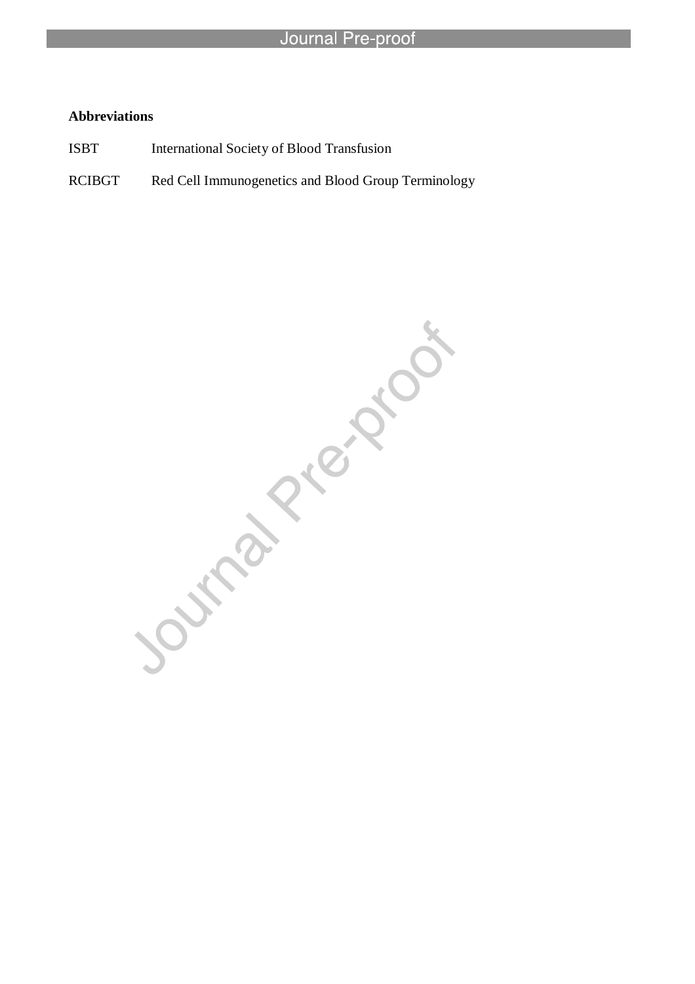### **Abbreviations**

ISBT International Society of Blood Transfusion

l

RCIBGT Red Cell Immunogenetics and Blood Group Terminology

Journal Piezzook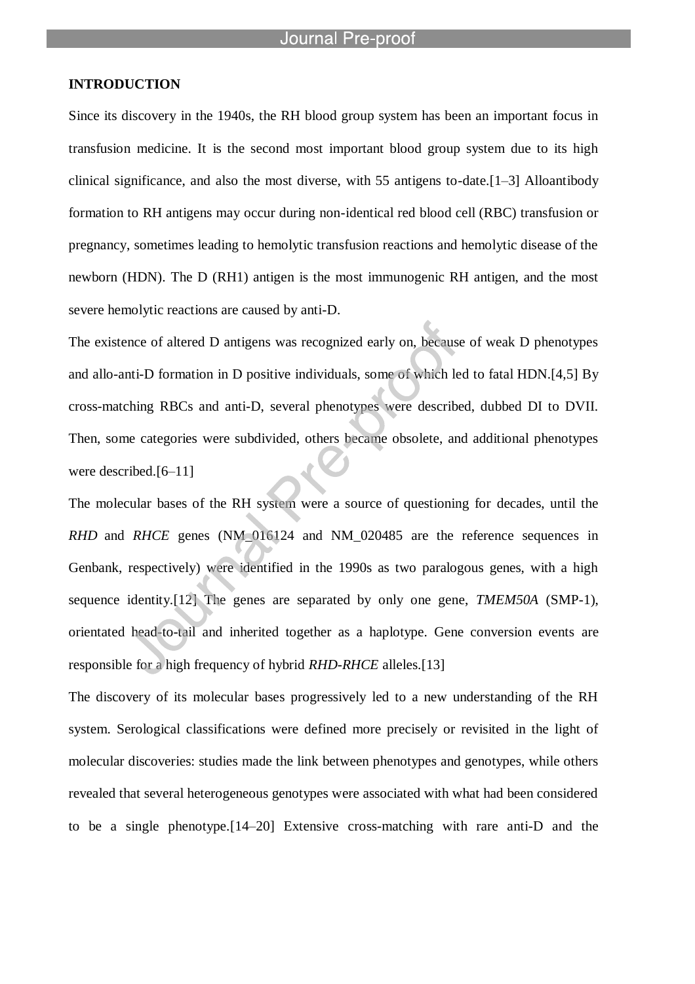l

### **INTRODUCTION**

Since its discovery in the 1940s, the RH blood group system has been an important focus in transfusion medicine. It is the second most important blood group system due to its high clinical significance, and also the most diverse, with 55 antigens to-date.[1–3] Alloantibody formation to RH antigens may occur during non-identical red blood cell (RBC) transfusion or pregnancy, sometimes leading to hemolytic transfusion reactions and hemolytic disease of the newborn (HDN). The D (RH1) antigen is the most immunogenic RH antigen, and the most severe hemolytic reactions are caused by anti-D.

The existence of altered D antigens was recognized early on, because of weak D phenotypes and allo-anti-D formation in D positive individuals, some of which led to fatal HDN.[4,5] By cross-matching RBCs and anti-D, several phenotypes were described, dubbed DI to DVII. Then, some categories were subdivided, others became obsolete, and additional phenotypes were described.[6–11]

The molecular bases of the RH system were a source of questioning for decades, until the *RHD* and *RHCE* genes (NM\_016124 and NM\_020485 are the reference sequences in Genbank, respectively) were identified in the 1990s as two paralogous genes, with a high sequence identity.[12] The genes are separated by only one gene, *TMEM50A* (SMP-1), orientated head-to-tail and inherited together as a haplotype. Gene conversion events are responsible for a high frequency of hybrid *RHD-RHCE* alleles.[13]

The discovery of its molecular bases progressively led to a new understanding of the RH system. Serological classifications were defined more precisely or revisited in the light of molecular discoveries: studies made the link between phenotypes and genotypes, while others revealed that several heterogeneous genotypes were associated with what had been considered to be a single phenotype.[14–20] Extensive cross-matching with rare anti-D and the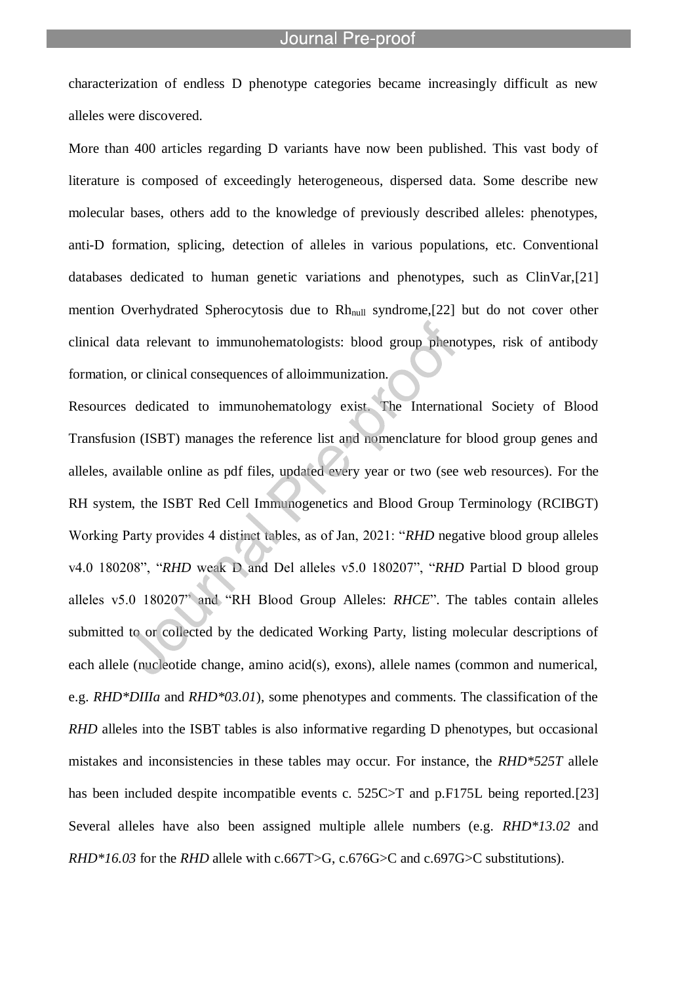characterization of endless D phenotype categories became increasingly difficult as new alleles were discovered.

l

More than 400 articles regarding D variants have now been published. This vast body of literature is composed of exceedingly heterogeneous, dispersed data. Some describe new molecular bases, others add to the knowledge of previously described alleles: phenotypes, anti-D formation, splicing, detection of alleles in various populations, etc. Conventional databases dedicated to human genetic variations and phenotypes, such as ClinVar,[21] mention Overhydrated Spherocytosis due to Rh<sub>null</sub> syndrome, [22] but do not cover other clinical data relevant to immunohematologists: blood group phenotypes, risk of antibody formation, or clinical consequences of alloimmunization.

Resources dedicated to immunohematology exist. The International Society of Blood Transfusion (ISBT) manages the reference list and nomenclature for blood group genes and alleles, available online as pdf files, updated every year or two (see web resources). For the RH system, the ISBT Red Cell Immunogenetics and Blood Group Terminology (RCIBGT) Working Party provides 4 distinct tables, as of Jan, 2021: "*RHD* negative blood group alleles v4.0 180208", "*RHD* weak D and Del alleles v5.0 180207", "*RHD* Partial D blood group alleles v5.0 180207" and "RH Blood Group Alleles: *RHCE*". The tables contain alleles submitted to or collected by the dedicated Working Party, listing molecular descriptions of each allele (nucleotide change, amino acid(s), exons), allele names (common and numerical, e.g. *RHD\*DIIIa* and *RHD\*03.01*), some phenotypes and comments. The classification of the *RHD* alleles into the ISBT tables is also informative regarding D phenotypes, but occasional mistakes and inconsistencies in these tables may occur. For instance, the *RHD\*525T* allele has been included despite incompatible events c. 525C>T and p.F175L being reported.[23] Several alleles have also been assigned multiple allele numbers (e.g. *RHD\*13.02* and *RHD\*16.03* for the *RHD* allele with c.667T>G, c.676G>C and c.697G>C substitutions).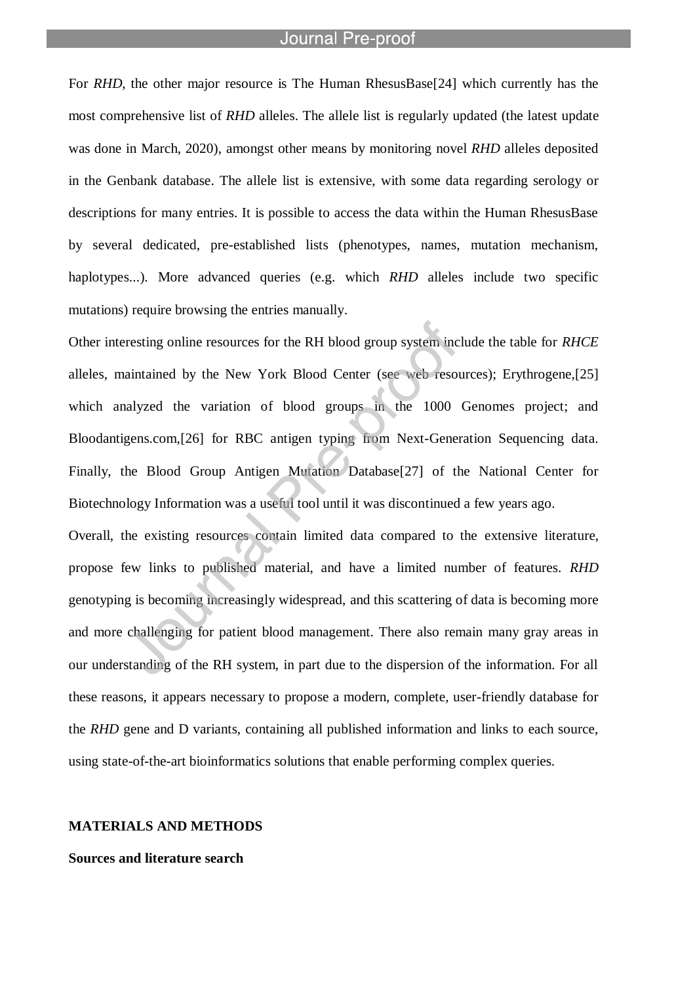l

For *RHD*, the other major resource is The Human RhesusBase[24] which currently has the most comprehensive list of *RHD* alleles. The allele list is regularly updated (the latest update was done in March, 2020), amongst other means by monitoring novel *RHD* alleles deposited in the Genbank database. The allele list is extensive, with some data regarding serology or descriptions for many entries. It is possible to access the data within the Human RhesusBase by several dedicated, pre-established lists (phenotypes, names, mutation mechanism, haplotypes...). More advanced queries (e.g. which *RHD* alleles include two specific mutations) require browsing the entries manually.

Other interesting online resources for the RH blood group system include the table for *RHCE* alleles, maintained by the New York Blood Center (see web resources); Erythrogene,[25] which analyzed the variation of blood groups in the 1000 Genomes project; and Bloodantigens.com,[26] for RBC antigen typing from Next-Generation Sequencing data. Finally, the Blood Group Antigen Mutation Database[27] of the National Center for Biotechnology Information was a useful tool until it was discontinued a few years ago.

Overall, the existing resources contain limited data compared to the extensive literature, propose few links to published material, and have a limited number of features. *RHD* genotyping is becoming increasingly widespread, and this scattering of data is becoming more and more challenging for patient blood management. There also remain many gray areas in our understanding of the RH system, in part due to the dispersion of the information. For all these reasons, it appears necessary to propose a modern, complete, user-friendly database for the *RHD* gene and D variants, containing all published information and links to each source, using state-of-the-art bioinformatics solutions that enable performing complex queries.

#### **MATERIALS AND METHODS**

### **Sources and literature search**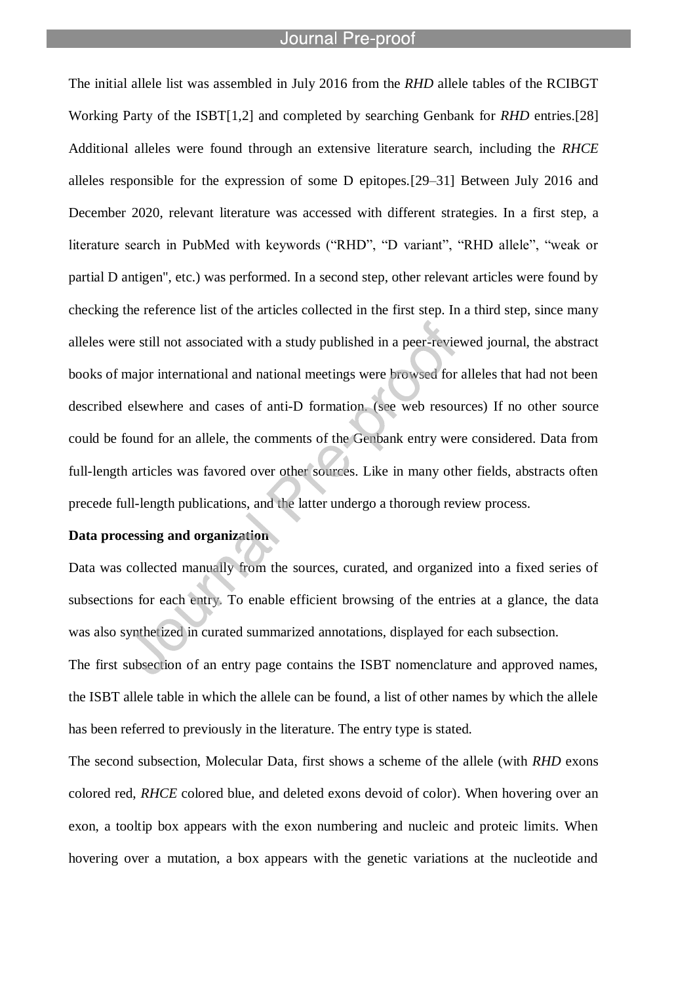l

The initial allele list was assembled in July 2016 from the *RHD* allele tables of the RCIBGT Working Party of the ISBT[1,2] and completed by searching Genbank for *RHD* entries.[28] Additional alleles were found through an extensive literature search, including the *RHCE* alleles responsible for the expression of some D epitopes.[29–31] Between July 2016 and December 2020, relevant literature was accessed with different strategies. In a first step, a literature search in PubMed with keywords ("RHD", "D variant", "RHD allele", "weak or partial D antigen", etc.) was performed. In a second step, other relevant articles were found by checking the reference list of the articles collected in the first step. In a third step, since many alleles were still not associated with a study published in a peer-reviewed journal, the abstract books of major international and national meetings were browsed for alleles that had not been described elsewhere and cases of anti-D formation. (see web resources) If no other source could be found for an allele, the comments of the Genbank entry were considered. Data from full-length articles was favored over other sources. Like in many other fields, abstracts often precede full-length publications, and the latter undergo a thorough review process.

### **Data processing and organization**

Data was collected manually from the sources, curated, and organized into a fixed series of subsections for each entry. To enable efficient browsing of the entries at a glance, the data was also synthetized in curated summarized annotations, displayed for each subsection.

The first subsection of an entry page contains the ISBT nomenclature and approved names, the ISBT allele table in which the allele can be found, a list of other names by which the allele has been referred to previously in the literature. The entry type is stated.

The second subsection, Molecular Data, first shows a scheme of the allele (with *RHD* exons colored red, *RHCE* colored blue, and deleted exons devoid of color). When hovering over an exon, a tooltip box appears with the exon numbering and nucleic and proteic limits. When hovering over a mutation, a box appears with the genetic variations at the nucleotide and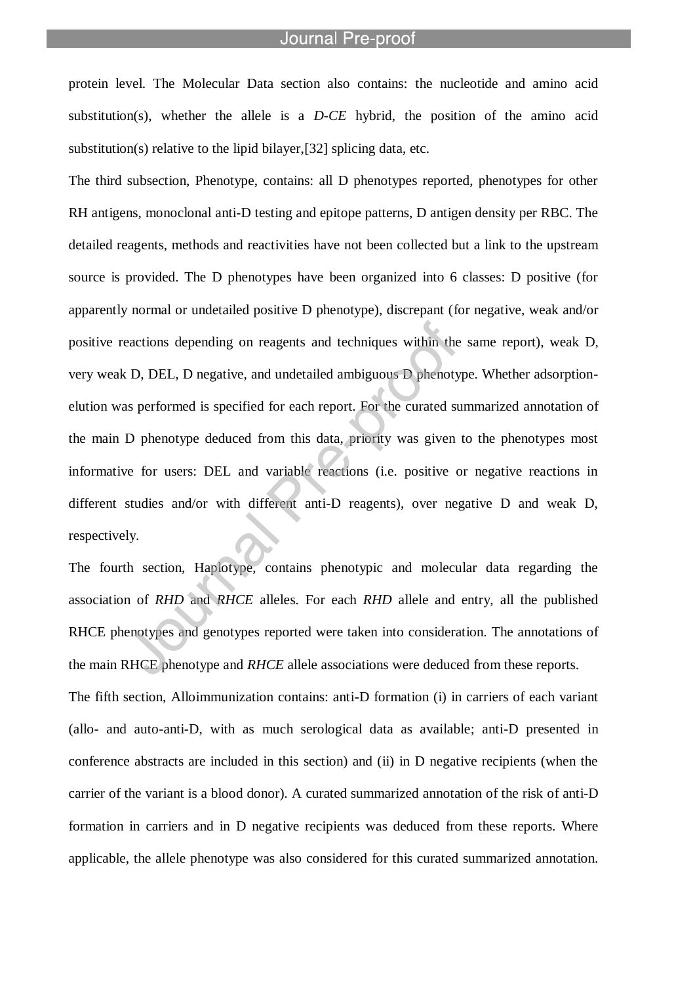protein level. The Molecular Data section also contains: the nucleotide and amino acid substitution(s), whether the allele is a *D-CE* hybrid, the position of the amino acid substitution(s) relative to the lipid bilayer,[32] splicing data, etc.

l

The third subsection, Phenotype, contains: all D phenotypes reported, phenotypes for other RH antigens, monoclonal anti-D testing and epitope patterns, D antigen density per RBC. The detailed reagents, methods and reactivities have not been collected but a link to the upstream source is provided. The D phenotypes have been organized into 6 classes: D positive (for apparently normal or undetailed positive D phenotype), discrepant (for negative, weak and/or positive reactions depending on reagents and techniques within the same report), weak D, very weak D, DEL, D negative, and undetailed ambiguous D phenotype. Whether adsorptionelution was performed is specified for each report. For the curated summarized annotation of the main D phenotype deduced from this data, priority was given to the phenotypes most informative for users: DEL and variable reactions (i.e. positive or negative reactions in different studies and/or with different anti-D reagents), over negative D and weak D, respectively.

The fourth section, Haplotype, contains phenotypic and molecular data regarding the association of *RHD* and *RHCE* alleles. For each *RHD* allele and entry, all the published RHCE phenotypes and genotypes reported were taken into consideration. The annotations of the main RHCE phenotype and *RHCE* allele associations were deduced from these reports.

The fifth section, Alloimmunization contains: anti-D formation (i) in carriers of each variant (allo- and auto-anti-D, with as much serological data as available; anti-D presented in conference abstracts are included in this section) and (ii) in D negative recipients (when the carrier of the variant is a blood donor). A curated summarized annotation of the risk of anti-D formation in carriers and in D negative recipients was deduced from these reports. Where applicable, the allele phenotype was also considered for this curated summarized annotation.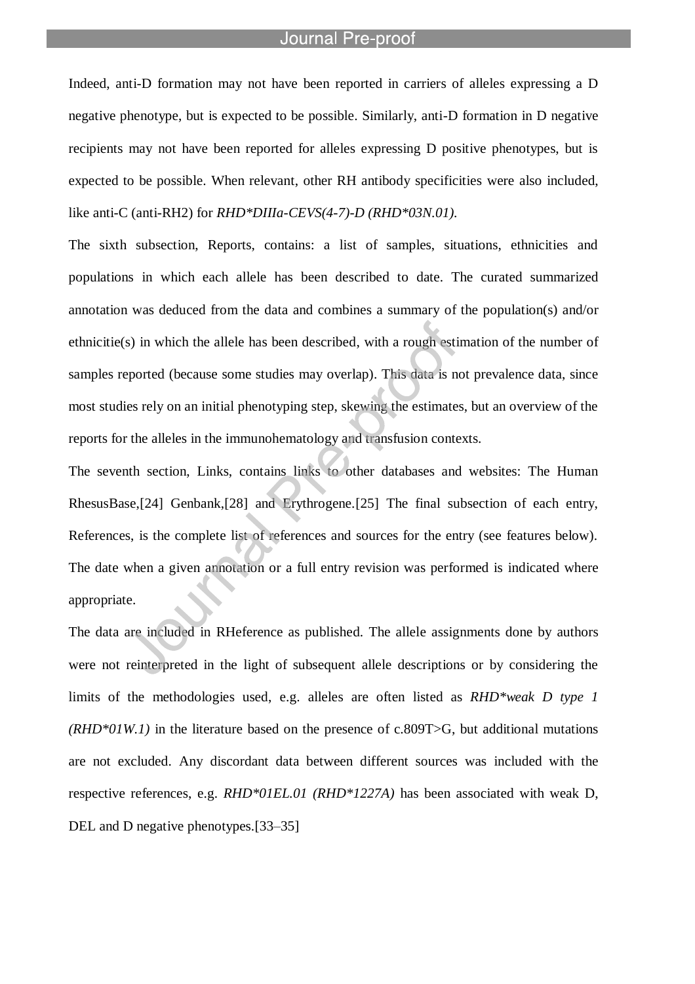l

Indeed, anti-D formation may not have been reported in carriers of alleles expressing a D negative phenotype, but is expected to be possible. Similarly, anti-D formation in D negative recipients may not have been reported for alleles expressing D positive phenotypes, but is expected to be possible. When relevant, other RH antibody specificities were also included, like anti-C (anti-RH2) for *RHD\*DIIIa-CEVS(4-7)-D (RHD\*03N.01).*

The sixth subsection, Reports, contains: a list of samples, situations, ethnicities and populations in which each allele has been described to date. The curated summarized annotation was deduced from the data and combines a summary of the population(s) and/or ethnicitie(s) in which the allele has been described, with a rough estimation of the number of samples reported (because some studies may overlap). This data is not prevalence data, since most studies rely on an initial phenotyping step, skewing the estimates, but an overview of the reports for the alleles in the immunohematology and transfusion contexts.

The seventh section, Links, contains links to other databases and websites: The Human RhesusBase,[24] Genbank,[28] and Erythrogene.[25] The final subsection of each entry, References, is the complete list of references and sources for the entry (see features below). The date when a given annotation or a full entry revision was performed is indicated where appropriate.

The data are included in RHeference as published. The allele assignments done by authors were not reinterpreted in the light of subsequent allele descriptions or by considering the limits of the methodologies used, e.g. alleles are often listed as *RHD\*weak D type 1 (RHD\*01W.1)* in the literature based on the presence of c.809T>G, but additional mutations are not excluded. Any discordant data between different sources was included with the respective references, e.g. *RHD\*01EL.01 (RHD\*1227A)* has been associated with weak D, DEL and D negative phenotypes.<sup>[33–35]</sup>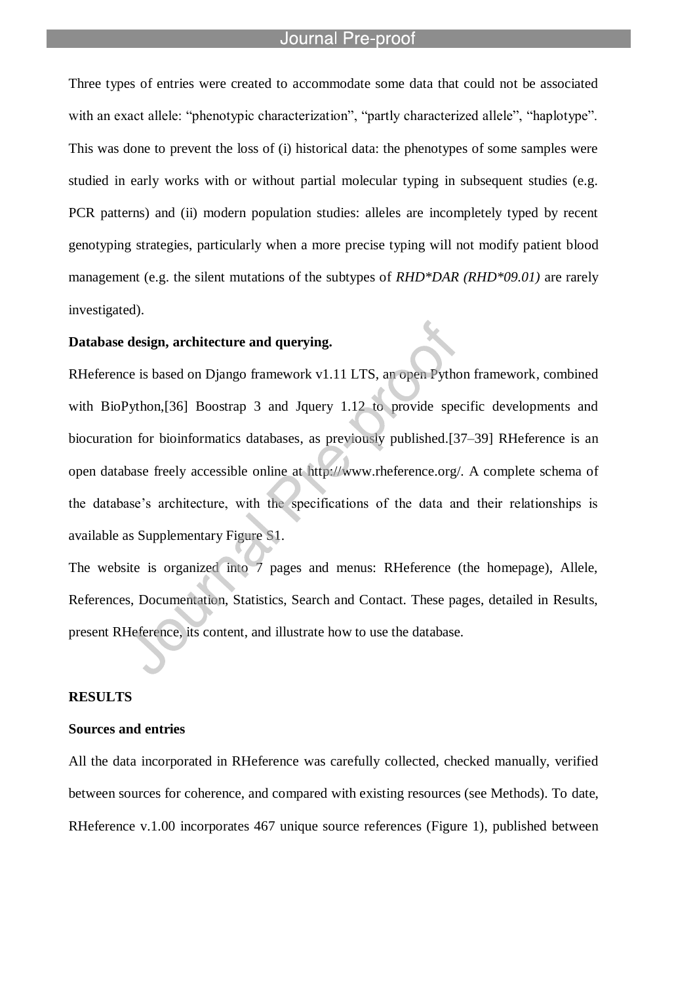Three types of entries were created to accommodate some data that could not be associated with an exact allele: "phenotypic characterization", "partly characterized allele", "haplotype". This was done to prevent the loss of (i) historical data: the phenotypes of some samples were studied in early works with or without partial molecular typing in subsequent studies (e.g. PCR patterns) and (ii) modern population studies: alleles are incompletely typed by recent genotyping strategies, particularly when a more precise typing will not modify patient blood management (e.g. the silent mutations of the subtypes of *RHD\*DAR (RHD\*09.01)* are rarely investigated).

### **Database design, architecture and querying.**

l

RHeference is based on Django framework v1.11 LTS, an open Python framework, combined with BioPython,[36] Boostrap 3 and Jquery 1.12 to provide specific developments and biocuration for bioinformatics databases, as previously published.[37–39] RHeference is an open database freely accessible online at http://www.rheference.org/. A complete schema of the database"s architecture, with the specifications of the data and their relationships is available as Supplementary Figure S1.

The website is organized into 7 pages and menus: RHeference (the homepage), Allele, References, Documentation, Statistics, Search and Contact. These pages, detailed in Results, present RHeference, its content, and illustrate how to use the database.

#### **RESULTS**

#### **Sources and entries**

All the data incorporated in RHeference was carefully collected, checked manually, verified between sources for coherence, and compared with existing resources (see Methods). To date, RHeference v.1.00 incorporates 467 unique source references (Figure 1), published between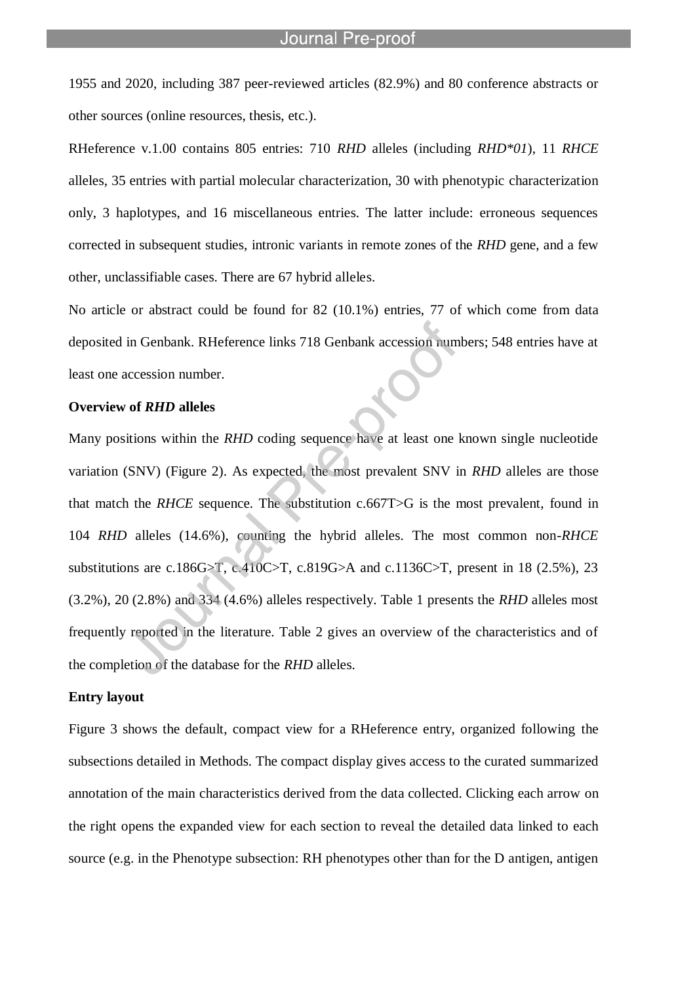1955 and 2020, including 387 peer-reviewed articles (82.9%) and 80 conference abstracts or other sources (online resources, thesis, etc.).

l

RHeference v.1.00 contains 805 entries: 710 *RHD* alleles (including *RHD\*01*), 11 *RHCE* alleles, 35 entries with partial molecular characterization, 30 with phenotypic characterization only, 3 haplotypes, and 16 miscellaneous entries. The latter include: erroneous sequences corrected in subsequent studies, intronic variants in remote zones of the *RHD* gene, and a few other, unclassifiable cases. There are 67 hybrid alleles.

No article or abstract could be found for 82 (10.1%) entries, 77 of which come from data deposited in Genbank. RHeference links 718 Genbank accession numbers; 548 entries have at least one accession number.

#### **Overview of** *RHD* **alleles**

Many positions within the *RHD* coding sequence have at least one known single nucleotide variation (SNV) (Figure 2). As expected, the most prevalent SNV in *RHD* alleles are those that match the *RHCE* sequence. The substitution c.667T>G is the most prevalent, found in 104 *RHD* alleles (14.6%), counting the hybrid alleles. The most common non-*RHCE* substitutions are c.186G $>$ T, c.410C $>$ T, c.819G $>$ A and c.1136C $>$ T, present in 18 (2.5%), 23 (3.2%), 20 (2.8%) and 334 (4.6%) alleles respectively. Table 1 presents the *RHD* alleles most frequently reported in the literature. Table 2 gives an overview of the characteristics and of the completion of the database for the *RHD* alleles.

#### **Entry layout**

Figure 3 shows the default, compact view for a RHeference entry, organized following the subsections detailed in Methods. The compact display gives access to the curated summarized annotation of the main characteristics derived from the data collected. Clicking each arrow on the right opens the expanded view for each section to reveal the detailed data linked to each source (e.g. in the Phenotype subsection: RH phenotypes other than for the D antigen, antigen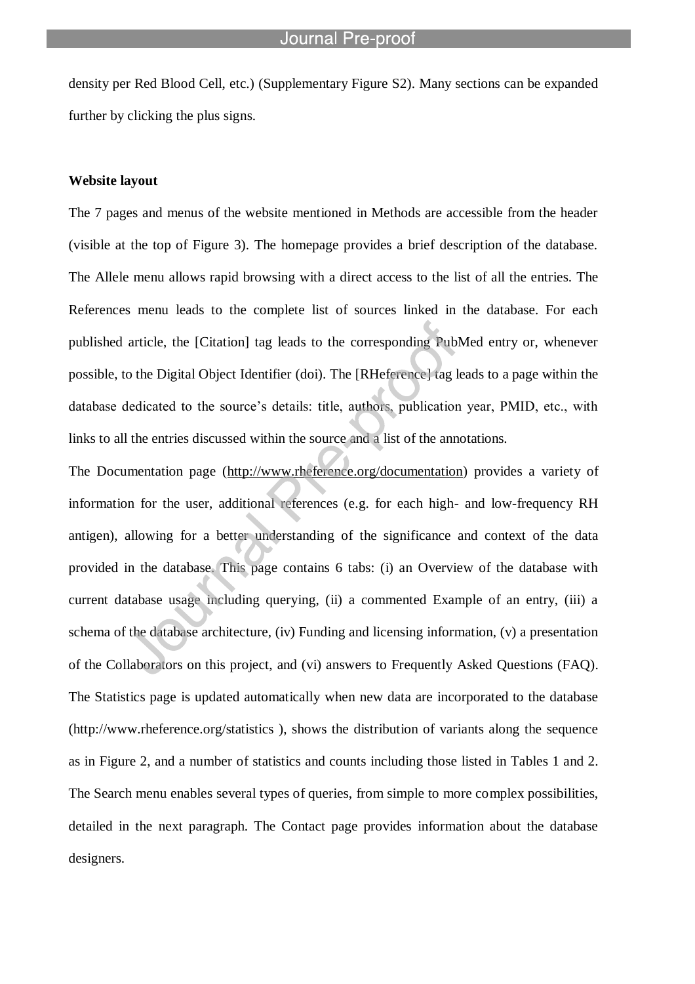density per Red Blood Cell, etc.) (Supplementary Figure S2). Many sections can be expanded further by clicking the plus signs.

l

#### **Website layout**

The 7 pages and menus of the website mentioned in Methods are accessible from the header (visible at the top of Figure 3). The homepage provides a brief description of the database. The Allele menu allows rapid browsing with a direct access to the list of all the entries. The References menu leads to the complete list of sources linked in the database. For each published article, the [Citation] tag leads to the corresponding PubMed entry or, whenever possible, to the Digital Object Identifier (doi). The [RHeference] tag leads to a page within the database dedicated to the source's details: title, authors, publication year, PMID, etc., with links to all the entries discussed within the source and a list of the annotations.

The Documentation page (http://www.rheference.org/documentation) provides a variety of information for the user, additional references (e.g. for each high- and low-frequency RH antigen), allowing for a better understanding of the significance and context of the data provided in the database. This page contains 6 tabs: (i) an Overview of the database with current database usage including querying, (ii) a commented Example of an entry, (iii) a schema of the database architecture, (iv) Funding and licensing information, (v) a presentation of the Collaborators on this project, and (vi) answers to Frequently Asked Questions (FAQ). The Statistics page is updated automatically when new data are incorporated to the database (http://www.rheference.org/statistics ), shows the distribution of variants along the sequence as in Figure 2, and a number of statistics and counts including those listed in Tables 1 and 2. The Search menu enables several types of queries, from simple to more complex possibilities, detailed in the next paragraph. The Contact page provides information about the database designers.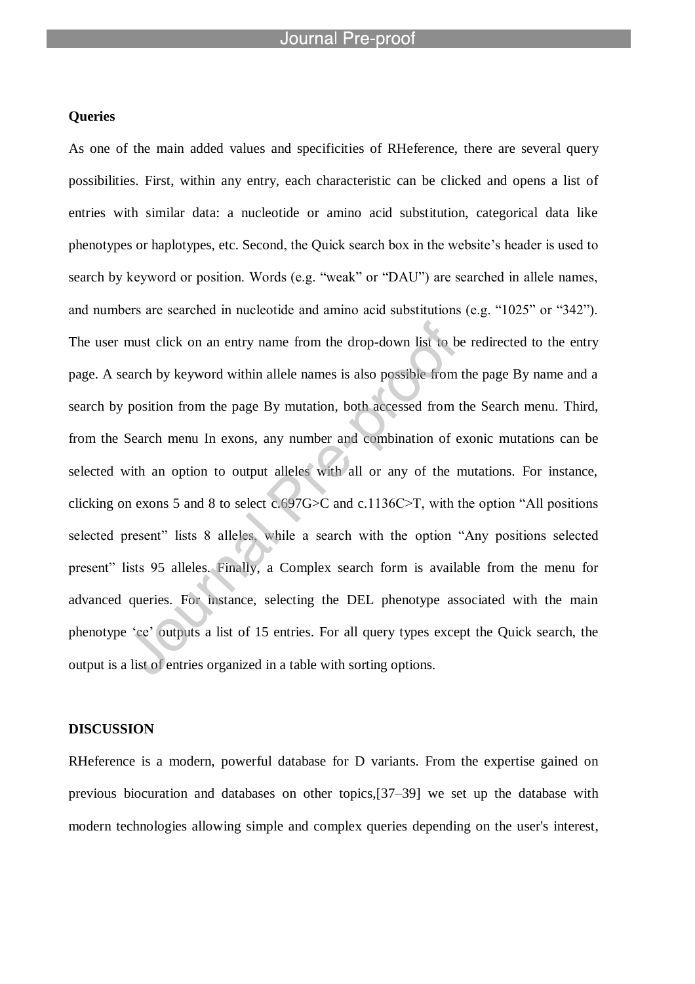l

#### **Queries**

As one of the main added values and specificities of RHeference, there are several query possibilities. First, within any entry, each characteristic can be clicked and opens a list of entries with similar data: a nucleotide or amino acid substitution, categorical data like phenotypes or haplotypes, etc. Second, the Quick search box in the website"s header is used to search by keyword or position. Words (e.g. "weak" or "DAU") are searched in allele names, and numbers are searched in nucleotide and amino acid substitutions (e.g. "1025" or "342"). The user must click on an entry name from the drop-down list to be redirected to the entry page. A search by keyword within allele names is also possible from the page By name and a search by position from the page By mutation, both accessed from the Search menu. Third, from the Search menu In exons, any number and combination of exonic mutations can be selected with an option to output alleles with all or any of the mutations. For instance, clicking on exons 5 and 8 to select c.697G>C and c.1136C>T, with the option "All positions selected present" lists 8 alleles, while a search with the option "Any positions selected present" lists 95 alleles. Finally, a Complex search form is available from the menu for advanced queries. For instance, selecting the DEL phenotype associated with the main phenotype "ce" outputs a list of 15 entries. For all query types except the Quick search, the output is a list of entries organized in a table with sorting options.

#### **DISCUSSION**

RHeference is a modern, powerful database for D variants. From the expertise gained on previous biocuration and databases on other topics,[37–39] we set up the database with modern technologies allowing simple and complex queries depending on the user's interest,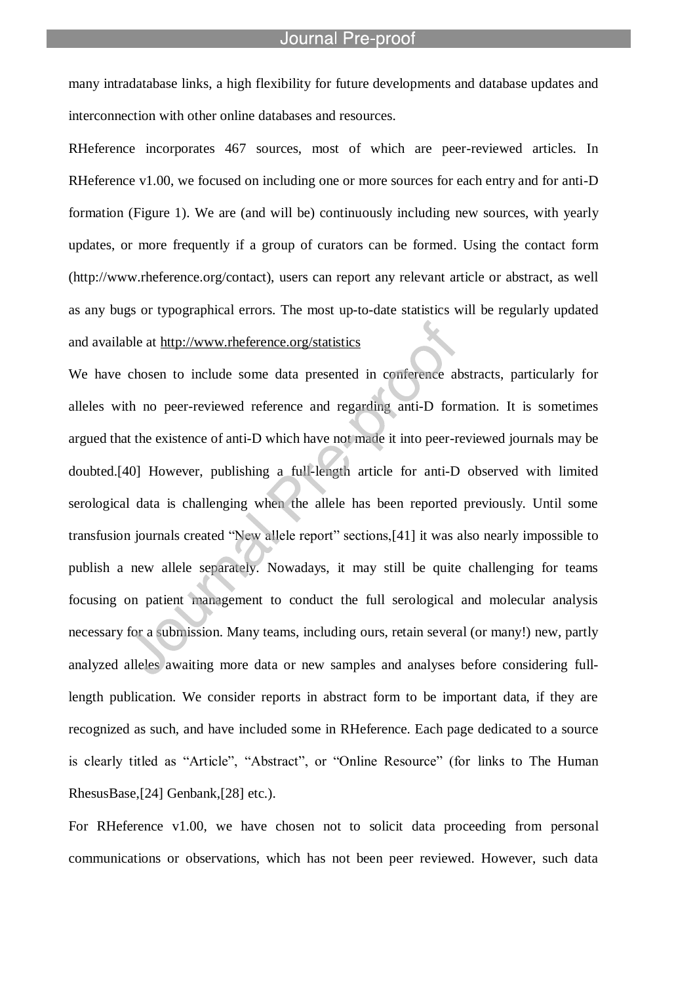many intradatabase links, a high flexibility for future developments and database updates and interconnection with other online databases and resources.

l

RHeference incorporates 467 sources, most of which are peer-reviewed articles. In RHeference v1.00, we focused on including one or more sources for each entry and for anti-D formation (Figure 1). We are (and will be) continuously including new sources, with yearly updates, or more frequently if a group of curators can be formed. Using the contact form (http://www.rheference.org/contact), users can report any relevant article or abstract, as well as any bugs or typographical errors. The most up-to-date statistics will be regularly updated and available at http://www.rheference.org/statistics

We have chosen to include some data presented in conference abstracts, particularly for alleles with no peer-reviewed reference and regarding anti-D formation. It is sometimes argued that the existence of anti-D which have not made it into peer-reviewed journals may be doubted.[40] However, publishing a full-length article for anti-D observed with limited serological data is challenging when the allele has been reported previously. Until some transfusion journals created "New allele report" sections,[41] it was also nearly impossible to publish a new allele separately. Nowadays, it may still be quite challenging for teams focusing on patient management to conduct the full serological and molecular analysis necessary for a submission. Many teams, including ours, retain several (or many!) new, partly analyzed alleles awaiting more data or new samples and analyses before considering fulllength publication. We consider reports in abstract form to be important data, if they are recognized as such, and have included some in RHeference. Each page dedicated to a source is clearly titled as "Article", "Abstract", or "Online Resource" (for links to The Human RhesusBase,[24] Genbank,[28] etc.).

For RHeference v1.00, we have chosen not to solicit data proceeding from personal communications or observations, which has not been peer reviewed. However, such data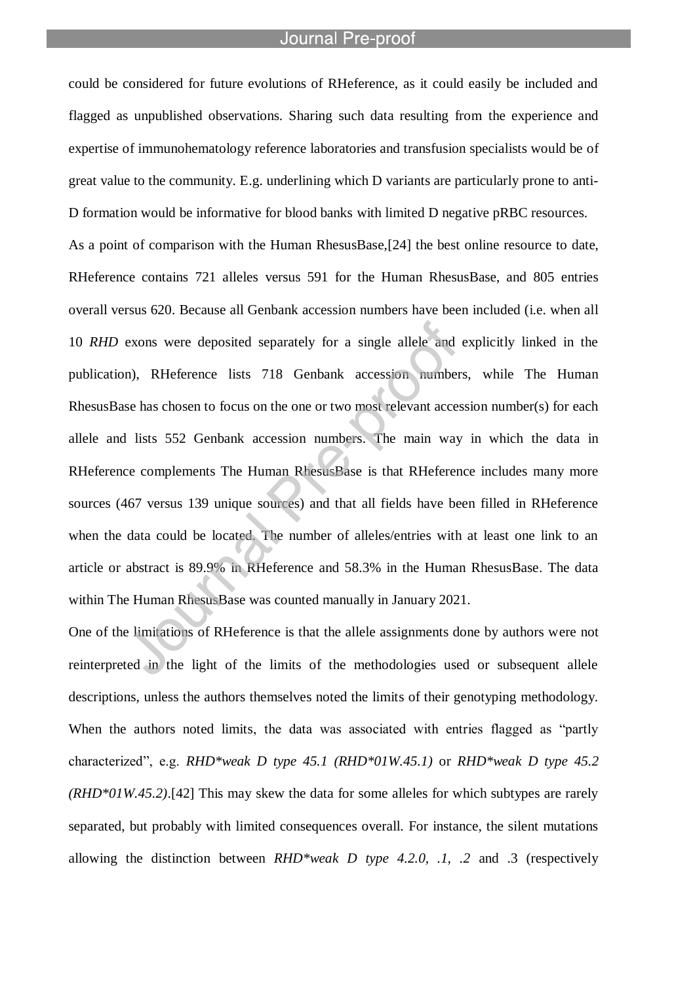l

could be considered for future evolutions of RHeference, as it could easily be included and flagged as unpublished observations. Sharing such data resulting from the experience and expertise of immunohematology reference laboratories and transfusion specialists would be of great value to the community. E.g. underlining which D variants are particularly prone to anti-D formation would be informative for blood banks with limited D negative pRBC resources.

As a point of comparison with the Human RhesusBase,[24] the best online resource to date, RHeference contains 721 alleles versus 591 for the Human RhesusBase, and 805 entries overall versus 620. Because all Genbank accession numbers have been included (i.e. when all 10 *RHD* exons were deposited separately for a single allele and explicitly linked in the publication), RHeference lists 718 Genbank accession numbers, while The Human RhesusBase has chosen to focus on the one or two most relevant accession number(s) for each allele and lists 552 Genbank accession numbers. The main way in which the data in RHeference complements The Human RhesusBase is that RHeference includes many more sources (467 versus 139 unique sources) and that all fields have been filled in RHeference when the data could be located. The number of alleles/entries with at least one link to an article or abstract is 89.9% in RHeference and 58.3% in the Human RhesusBase. The data within The Human RhesusBase was counted manually in January 2021.

One of the limitations of RHeference is that the allele assignments done by authors were not reinterpreted in the light of the limits of the methodologies used or subsequent allele descriptions, unless the authors themselves noted the limits of their genotyping methodology. When the authors noted limits, the data was associated with entries flagged as "partly characterized", e.g. *RHD\*weak D type 45.1 (RHD\*01W.45.1)* or *RHD\*weak D type 45.2 (RHD\*01W.45.2)*.[42] This may skew the data for some alleles for which subtypes are rarely separated, but probably with limited consequences overall. For instance, the silent mutations allowing the distinction between *RHD\*weak D type 4.2.0, .1, .2* and .3 (respectively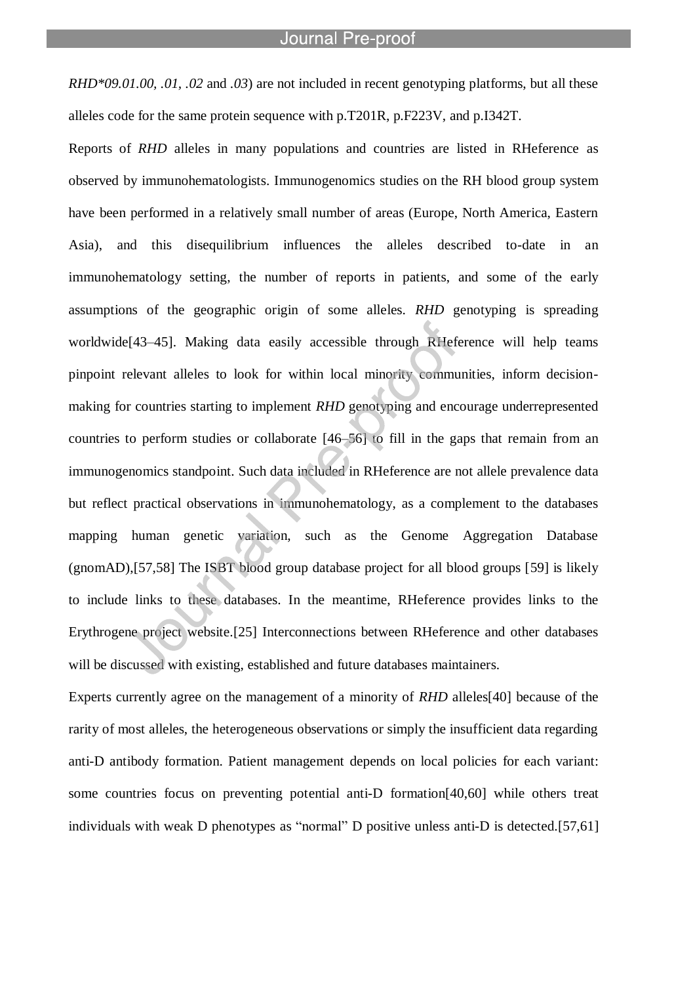*RHD\*09.01.00, .01, .02* and *.03*) are not included in recent genotyping platforms, but all these alleles code for the same protein sequence with p.T201R, p.F223V, and p.I342T.

l

Reports of *RHD* alleles in many populations and countries are listed in RHeference as observed by immunohematologists. Immunogenomics studies on the RH blood group system have been performed in a relatively small number of areas (Europe, North America, Eastern Asia), and this disequilibrium influences the alleles described to-date in an immunohematology setting, the number of reports in patients, and some of the early assumptions of the geographic origin of some alleles. *RHD* genotyping is spreading worldwide[43–45]. Making data easily accessible through RHeference will help teams pinpoint relevant alleles to look for within local minority communities, inform decisionmaking for countries starting to implement *RHD* genotyping and encourage underrepresented countries to perform studies or collaborate [46–56] to fill in the gaps that remain from an immunogenomics standpoint. Such data included in RHeference are not allele prevalence data but reflect practical observations in immunohematology, as a complement to the databases mapping human genetic variation, such as the Genome Aggregation Database (gnomAD),[57,58] The ISBT blood group database project for all blood groups [59] is likely to include links to these databases. In the meantime, RHeference provides links to the Erythrogene project website.[25] Interconnections between RHeference and other databases will be discussed with existing, established and future databases maintainers.

Experts currently agree on the management of a minority of *RHD* alleles[40] because of the rarity of most alleles, the heterogeneous observations or simply the insufficient data regarding anti-D antibody formation. Patient management depends on local policies for each variant: some countries focus on preventing potential anti-D formation[40,60] while others treat individuals with weak D phenotypes as "normal" D positive unless anti-D is detected.[57,61]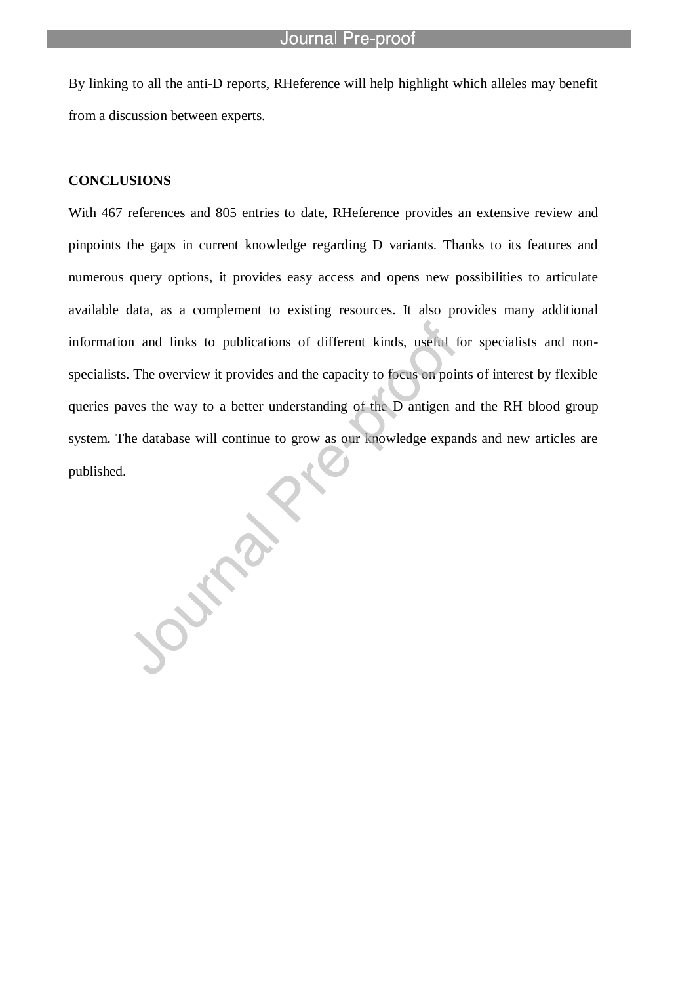By linking to all the anti-D reports, RHeference will help highlight which alleles may benefit from a discussion between experts.

l

OUTSIDE

#### **CONCLUSIONS**

With 467 references and 805 entries to date, RHeference provides an extensive review and pinpoints the gaps in current knowledge regarding D variants. Thanks to its features and numerous query options, it provides easy access and opens new possibilities to articulate available data, as a complement to existing resources. It also provides many additional information and links to publications of different kinds, useful for specialists and nonspecialists. The overview it provides and the capacity to focus on points of interest by flexible queries paves the way to a better understanding of the D antigen and the RH blood group system. The database will continue to grow as our knowledge expands and new articles are published.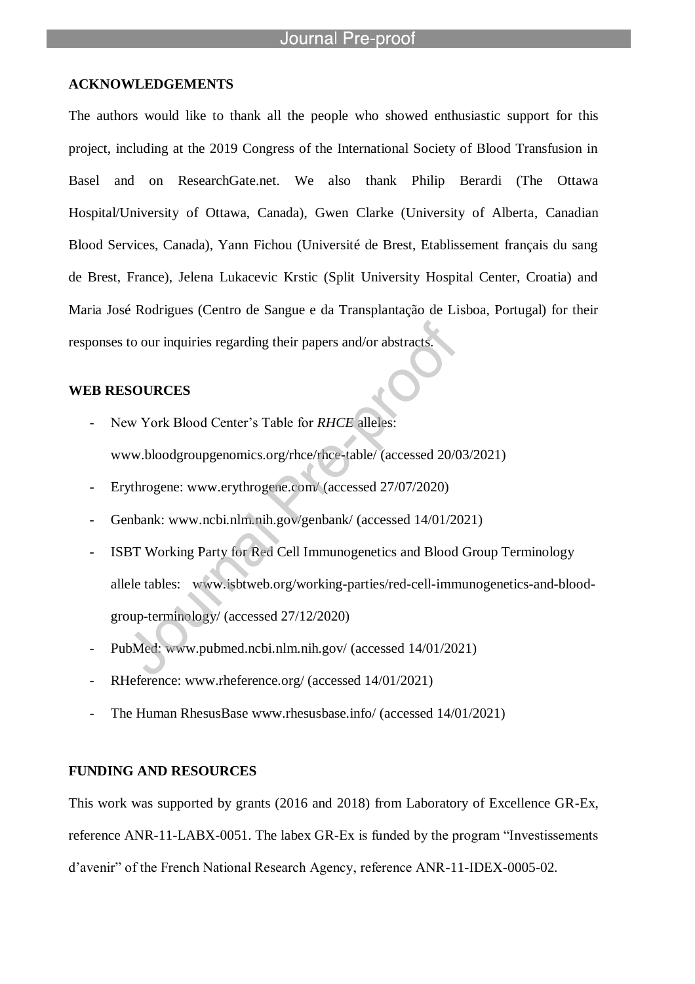### **ACKNOWLEDGEMENTS**

l

The authors would like to thank all the people who showed enthusiastic support for this project, including at the 2019 Congress of the International Society of Blood Transfusion in Basel and on ResearchGate.net. We also thank Philip Berardi (The Ottawa Hospital/University of Ottawa, Canada), Gwen Clarke (University of Alberta, Canadian Blood Services, Canada), Yann Fichou (Université de Brest, Etablissement français du sang de Brest, France), Jelena Lukacevic Krstic (Split University Hospital Center, Croatia) and Maria José Rodrigues (Centro de Sangue e da Transplantação de Lisboa, Portugal) for their responses to our inquiries regarding their papers and/or abstracts.

### **WEB RESOURCES**

- New York Blood Center's Table for *RHCE* alleles: www.bloodgroupgenomics.org/rhce/rhce-table/ (accessed 20/03/2021)
- Erythrogene: www.erythrogene.com/ (accessed 27/07/2020)
- Genbank: www.ncbi.nlm.nih.gov/genbank/ (accessed 14/01/2021)
- ISBT Working Party for Red Cell Immunogenetics and Blood Group Terminology allele tables: www.isbtweb.org/working-parties/red-cell-immunogenetics-and-bloodgroup-terminology/ (accessed 27/12/2020)
- PubMed: www.pubmed.ncbi.nlm.nih.gov/ (accessed 14/01/2021)
- RHeference: www.rheference.org/ (accessed 14/01/2021)
- The Human RhesusBase www.rhesusbase.info/ (accessed 14/01/2021)

#### **FUNDING AND RESOURCES**

This work was supported by grants (2016 and 2018) from Laboratory of Excellence GR-Ex, reference ANR-11-LABX-0051. The labex GR-Ex is funded by the program "Investissements d"avenir" of the French National Research Agency, reference ANR-11-IDEX-0005-02.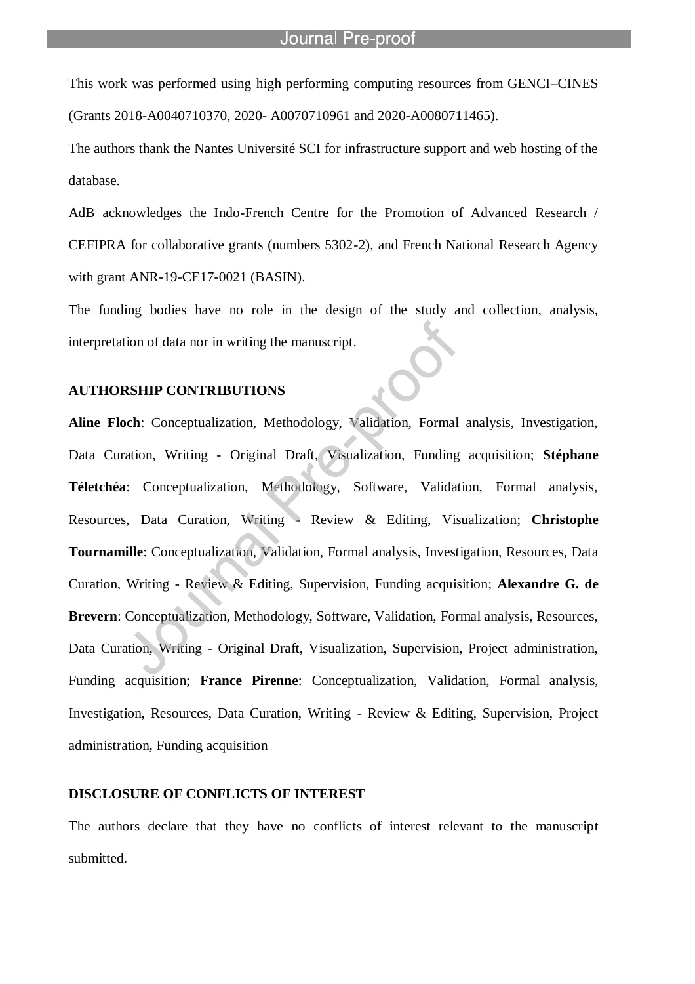This work was performed using high performing computing resources from GENCI–CINES (Grants 2018-A0040710370, 2020- A0070710961 and 2020-A0080711465).

l

The authors thank the Nantes Université SCI for infrastructure support and web hosting of the database.

AdB acknowledges the Indo-French Centre for the Promotion of Advanced Research / CEFIPRA for collaborative grants (numbers 5302-2), and French National Research Agency with grant ANR-19-CE17-0021 (BASIN).

The funding bodies have no role in the design of the study and collection, analysis, interpretation of data nor in writing the manuscript.

### **AUTHORSHIP CONTRIBUTIONS**

**Aline Floch**: Conceptualization, Methodology, Validation, Formal analysis, Investigation, Data Curation, Writing - Original Draft, Visualization, Funding acquisition; **Stéphane Téletchéa**: Conceptualization, Methodology, Software, Validation, Formal analysis, Resources, Data Curation, Writing - Review & Editing, Visualization; **Christophe Tournamille**: Conceptualization, Validation, Formal analysis, Investigation, Resources, Data Curation, Writing - Review & Editing, Supervision, Funding acquisition; **Alexandre G. de Brevern**: Conceptualization, Methodology, Software, Validation, Formal analysis, Resources, Data Curation, Writing - Original Draft, Visualization, Supervision, Project administration, Funding acquisition; **France Pirenne**: Conceptualization, Validation, Formal analysis, Investigation, Resources, Data Curation, Writing - Review & Editing, Supervision, Project administration, Funding acquisition

#### **DISCLOSURE OF CONFLICTS OF INTEREST**

The authors declare that they have no conflicts of interest relevant to the manuscript submitted.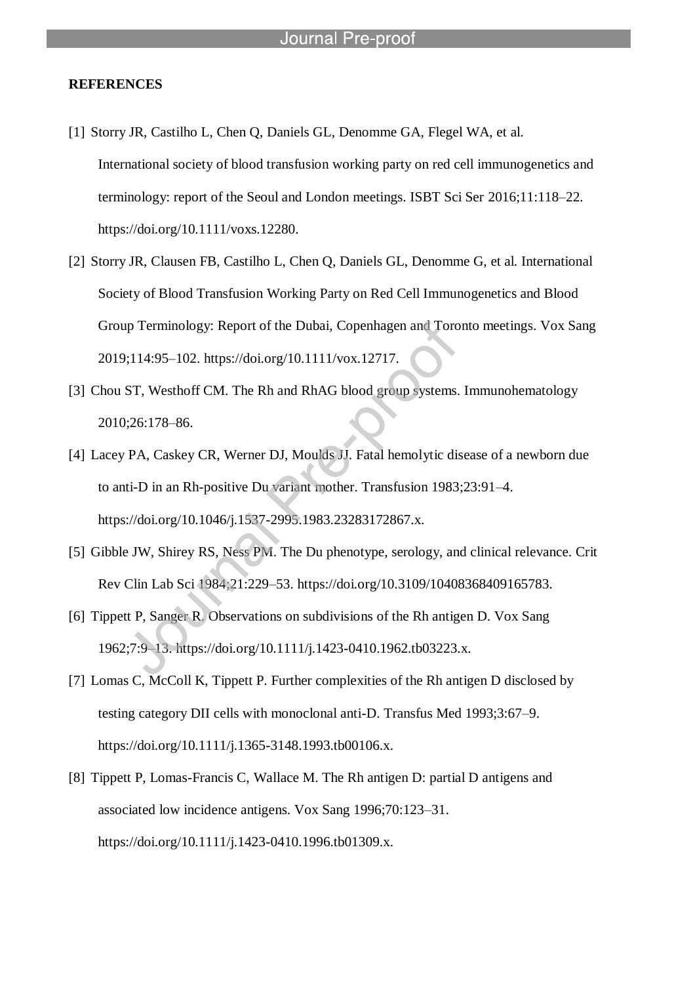l

#### **REFERENCES**

- [1] Storry JR, Castilho L, Chen Q, Daniels GL, Denomme GA, Flegel WA, et al. International society of blood transfusion working party on red cell immunogenetics and terminology: report of the Seoul and London meetings. ISBT Sci Ser 2016;11:118–22. https://doi.org/10.1111/voxs.12280.
- [2] Storry JR, Clausen FB, Castilho L, Chen Q, Daniels GL, Denomme G, et al. International Society of Blood Transfusion Working Party on Red Cell Immunogenetics and Blood Group Terminology: Report of the Dubai, Copenhagen and Toronto meetings. Vox Sang 2019;114:95–102. https://doi.org/10.1111/vox.12717.
- [3] Chou ST, Westhoff CM. The Rh and RhAG blood group systems. Immunohematology 2010;26:178–86.
- [4] Lacey PA, Caskey CR, Werner DJ, Moulds JJ. Fatal hemolytic disease of a newborn due to anti-D in an Rh-positive Du variant mother. Transfusion 1983;23:91–4. https://doi.org/10.1046/j.1537-2995.1983.23283172867.x.
- [5] Gibble JW, Shirey RS, Ness PM. The Du phenotype, serology, and clinical relevance. Crit Rev Clin Lab Sci 1984;21:229–53. https://doi.org/10.3109/10408368409165783.
- [6] Tippett P, Sanger R. Observations on subdivisions of the Rh antigen D. Vox Sang 1962;7:9–13. https://doi.org/10.1111/j.1423-0410.1962.tb03223.x.
- [7] Lomas C, McColl K, Tippett P. Further complexities of the Rh antigen D disclosed by testing category DII cells with monoclonal anti-D. Transfus Med 1993;3:67–9. https://doi.org/10.1111/j.1365-3148.1993.tb00106.x.
- [8] Tippett P, Lomas-Francis C, Wallace M. The Rh antigen D: partial D antigens and associated low incidence antigens. Vox Sang 1996;70:123–31. https://doi.org/10.1111/j.1423-0410.1996.tb01309.x.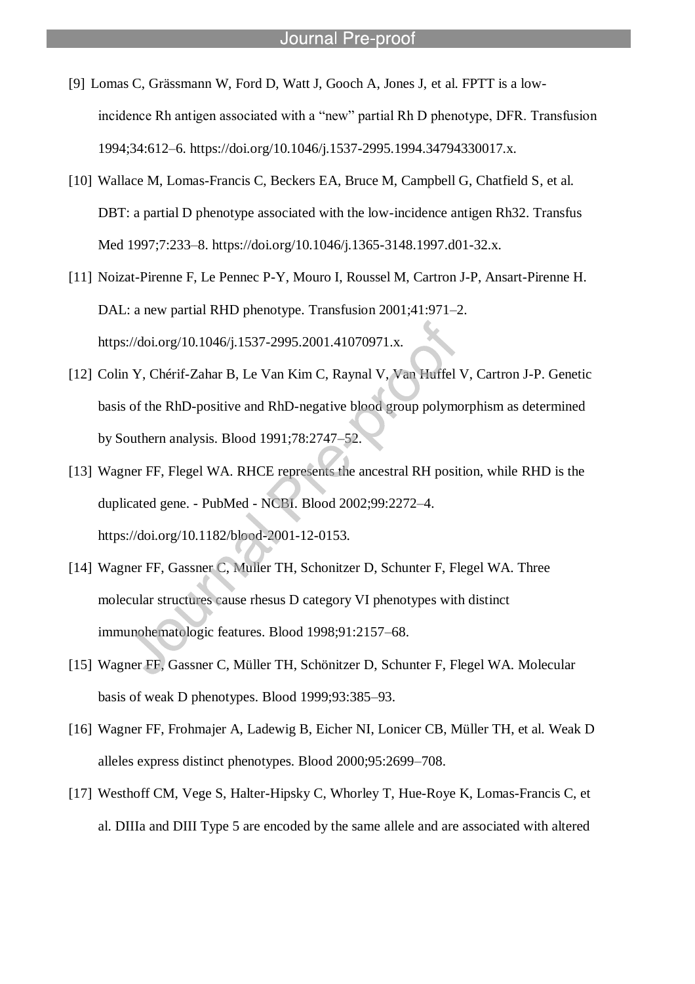[9] Lomas C, Grässmann W, Ford D, Watt J, Gooch A, Jones J, et al. FPTT is a lowincidence Rh antigen associated with a "new" partial Rh D phenotype, DFR. Transfusion 1994;34:612–6. https://doi.org/10.1046/j.1537-2995.1994.34794330017.x.

- [10] Wallace M, Lomas-Francis C, Beckers EA, Bruce M, Campbell G, Chatfield S, et al. DBT: a partial D phenotype associated with the low-incidence antigen Rh32. Transfus Med 1997;7:233–8. https://doi.org/10.1046/j.1365-3148.1997.d01-32.x.
- [11] Noizat-Pirenne F, Le Pennec P-Y, Mouro I, Roussel M, Cartron J-P, Ansart-Pirenne H. DAL: a new partial RHD phenotype. Transfusion 2001;41:971–2. https://doi.org/10.1046/j.1537-2995.2001.41070971.x.
- [12] Colin Y, Chérif-Zahar B, Le Van Kim C, Raynal V, Van Huffel V, Cartron J-P. Genetic basis of the RhD-positive and RhD-negative blood group polymorphism as determined by Southern analysis. Blood 1991;78:2747–52.
- [13] Wagner FF, Flegel WA. RHCE represents the ancestral RH position, while RHD is the duplicated gene. - PubMed - NCBI. Blood 2002;99:2272–4. https://doi.org/10.1182/blood-2001-12-0153.
- [14] Wagner FF, Gassner C, Muller TH, Schonitzer D, Schunter F, Flegel WA. Three molecular structures cause rhesus D category VI phenotypes with distinct immunohematologic features. Blood 1998;91:2157–68.
- [15] Wagner FF, Gassner C, Müller TH, Schönitzer D, Schunter F, Flegel WA. Molecular basis of weak D phenotypes. Blood 1999;93:385–93.
- [16] Wagner FF, Frohmajer A, Ladewig B, Eicher NI, Lonicer CB, Müller TH, et al. Weak D alleles express distinct phenotypes. Blood 2000;95:2699–708.
- [17] Westhoff CM, Vege S, Halter-Hipsky C, Whorley T, Hue-Roye K, Lomas-Francis C, et al. DIIIa and DIII Type 5 are encoded by the same allele and are associated with altered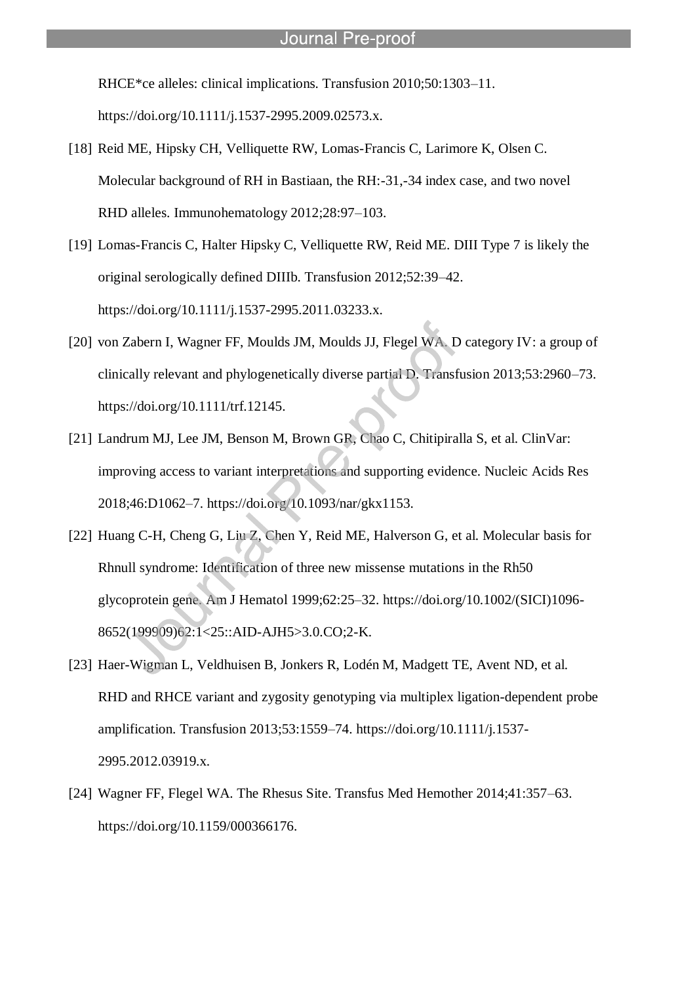RHCE\*ce alleles: clinical implications. Transfusion 2010;50:1303–11.

https://doi.org/10.1111/j.1537-2995.2009.02573.x.

- [18] Reid ME, Hipsky CH, Velliquette RW, Lomas-Francis C, Larimore K, Olsen C. Molecular background of RH in Bastiaan, the RH:-31,-34 index case, and two novel RHD alleles. Immunohematology 2012;28:97–103.
- [19] Lomas-Francis C, Halter Hipsky C, Velliquette RW, Reid ME. DIII Type 7 is likely the original serologically defined DIIIb. Transfusion 2012;52:39–42. https://doi.org/10.1111/j.1537-2995.2011.03233.x.
- [20] von Zabern I, Wagner FF, Moulds JM, Moulds JJ, Flegel WA. D category IV: a group of clinically relevant and phylogenetically diverse partial D. Transfusion 2013;53:2960–73. https://doi.org/10.1111/trf.12145.
- [21] Landrum MJ, Lee JM, Benson M, Brown GR, Chao C, Chitipiralla S, et al. ClinVar: improving access to variant interpretations and supporting evidence. Nucleic Acids Res 2018;46:D1062–7. https://doi.org/10.1093/nar/gkx1153.
- [22] Huang C-H, Cheng G, Liu Z, Chen Y, Reid ME, Halverson G, et al. Molecular basis for Rhnull syndrome: Identification of three new missense mutations in the Rh50 glycoprotein gene. Am J Hematol 1999;62:25–32. https://doi.org/10.1002/(SICI)1096- 8652(199909)62:1<25::AID-AJH5>3.0.CO;2-K.
- [23] Haer-Wigman L, Veldhuisen B, Jonkers R, Lodén M, Madgett TE, Avent ND, et al. RHD and RHCE variant and zygosity genotyping via multiplex ligation-dependent probe amplification. Transfusion 2013;53:1559–74. https://doi.org/10.1111/j.1537- 2995.2012.03919.x.
- [24] Wagner FF, Flegel WA. The Rhesus Site. Transfus Med Hemother 2014;41:357–63. https://doi.org/10.1159/000366176.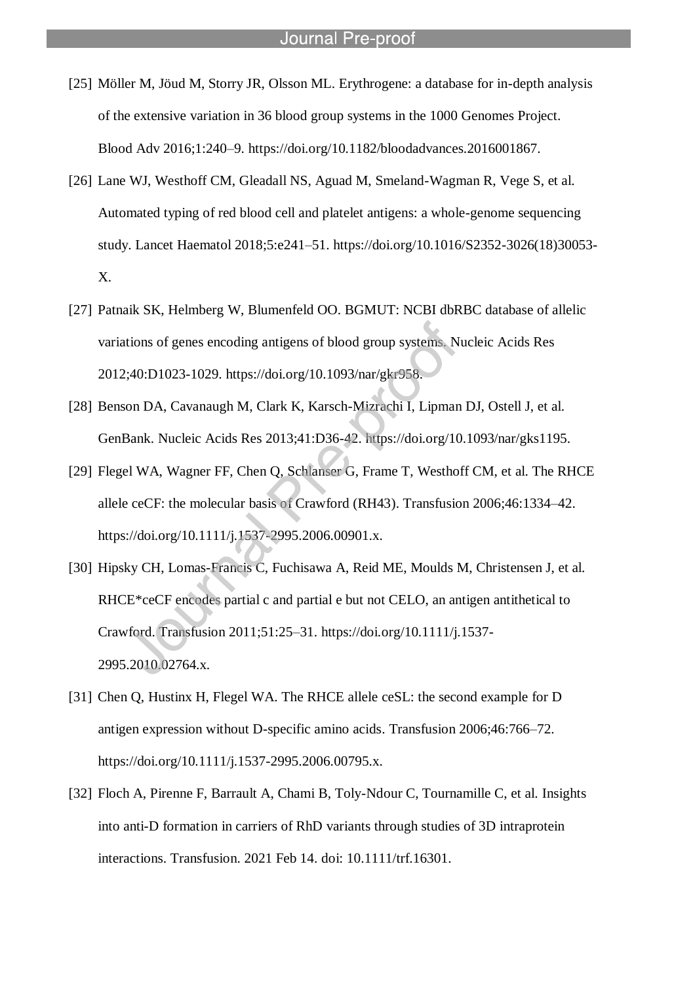[25] Möller M, Jöud M, Storry JR, Olsson ML. Erythrogene: a database for in-depth analysis of the extensive variation in 36 blood group systems in the 1000 Genomes Project. Blood Adv 2016;1:240–9. https://doi.org/10.1182/bloodadvances.2016001867.

- [26] Lane WJ, Westhoff CM, Gleadall NS, Aguad M, Smeland-Wagman R, Vege S, et al. Automated typing of red blood cell and platelet antigens: a whole-genome sequencing study. Lancet Haematol 2018;5:e241–51. https://doi.org/10.1016/S2352-3026(18)30053- X.
- [27] Patnaik SK, Helmberg W, Blumenfeld OO. BGMUT: NCBI dbRBC database of allelic variations of genes encoding antigens of blood group systems. Nucleic Acids Res 2012;40:D1023-1029. https://doi.org/10.1093/nar/gkr958.
- [28] Benson DA, Cavanaugh M, Clark K, Karsch-Mizrachi I, Lipman DJ, Ostell J, et al. GenBank. Nucleic Acids Res 2013;41:D36-42. https://doi.org/10.1093/nar/gks1195.
- [29] Flegel WA, Wagner FF, Chen Q, Schlanser G, Frame T, Westhoff CM, et al. The RHCE allele ceCF: the molecular basis of Crawford (RH43). Transfusion 2006;46:1334–42. https://doi.org/10.1111/j.1537-2995.2006.00901.x.
- [30] Hipsky CH, Lomas-Francis C, Fuchisawa A, Reid ME, Moulds M, Christensen J, et al. RHCE<sup>\*</sup>ceCF encodes partial c and partial e but not CELO, an antigen antithetical to Crawford. Transfusion 2011;51:25–31. https://doi.org/10.1111/j.1537- 2995.2010.02764.x.
- [31] Chen Q, Hustinx H, Flegel WA. The RHCE allele ceSL: the second example for D antigen expression without D-specific amino acids. Transfusion 2006;46:766–72. https://doi.org/10.1111/j.1537-2995.2006.00795.x.
- [32] Floch A, Pirenne F, Barrault A, Chami B, Toly-Ndour C, Tournamille C, et al. Insights into anti-D formation in carriers of RhD variants through studies of 3D intraprotein interactions. Transfusion. 2021 Feb 14. doi: 10.1111/trf.16301.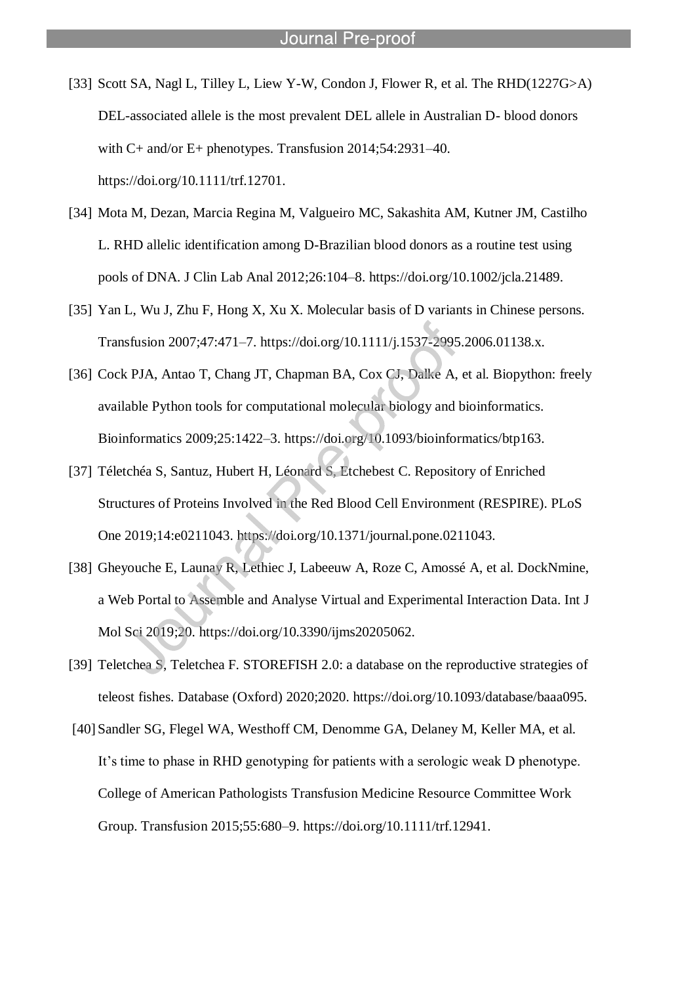[33] Scott SA, Nagl L, Tilley L, Liew Y-W, Condon J, Flower R, et al. The RHD(1227G>A) DEL-associated allele is the most prevalent DEL allele in Australian D- blood donors with C+ and/or E+ phenotypes. Transfusion 2014;54:2931–40. https://doi.org/10.1111/trf.12701.

- [34] Mota M, Dezan, Marcia Regina M, Valgueiro MC, Sakashita AM, Kutner JM, Castilho L. RHD allelic identification among D-Brazilian blood donors as a routine test using pools of DNA. J Clin Lab Anal 2012;26:104–8. https://doi.org/10.1002/jcla.21489.
- [35] Yan L, Wu J, Zhu F, Hong X, Xu X. Molecular basis of D variants in Chinese persons. Transfusion 2007;47:471–7. https://doi.org/10.1111/j.1537-2995.2006.01138.x.
- [36] Cock PJA, Antao T, Chang JT, Chapman BA, Cox CJ, Dalke A, et al. Biopython: freely available Python tools for computational molecular biology and bioinformatics. Bioinformatics 2009;25:1422–3. https://doi.org/10.1093/bioinformatics/btp163.
- [37] Téletchéa S, Santuz, Hubert H, Léonard S, Etchebest C. Repository of Enriched Structures of Proteins Involved in the Red Blood Cell Environment (RESPIRE). PLoS One 2019;14:e0211043. https://doi.org/10.1371/journal.pone.0211043.
- [38] Gheyouche E, Launay R, Lethiec J, Labeeuw A, Roze C, Amossé A, et al. DockNmine, a Web Portal to Assemble and Analyse Virtual and Experimental Interaction Data. Int J Mol Sci 2019;20. https://doi.org/10.3390/ijms20205062.
- [39] Teletchea S, Teletchea F. STOREFISH 2.0: a database on the reproductive strategies of teleost fishes. Database (Oxford) 2020;2020. https://doi.org/10.1093/database/baaa095.
- [40] Sandler SG, Flegel WA, Westhoff CM, Denomme GA, Delaney M, Keller MA, et al. It's time to phase in RHD genotyping for patients with a serologic weak D phenotype. College of American Pathologists Transfusion Medicine Resource Committee Work Group. Transfusion 2015;55:680–9. https://doi.org/10.1111/trf.12941.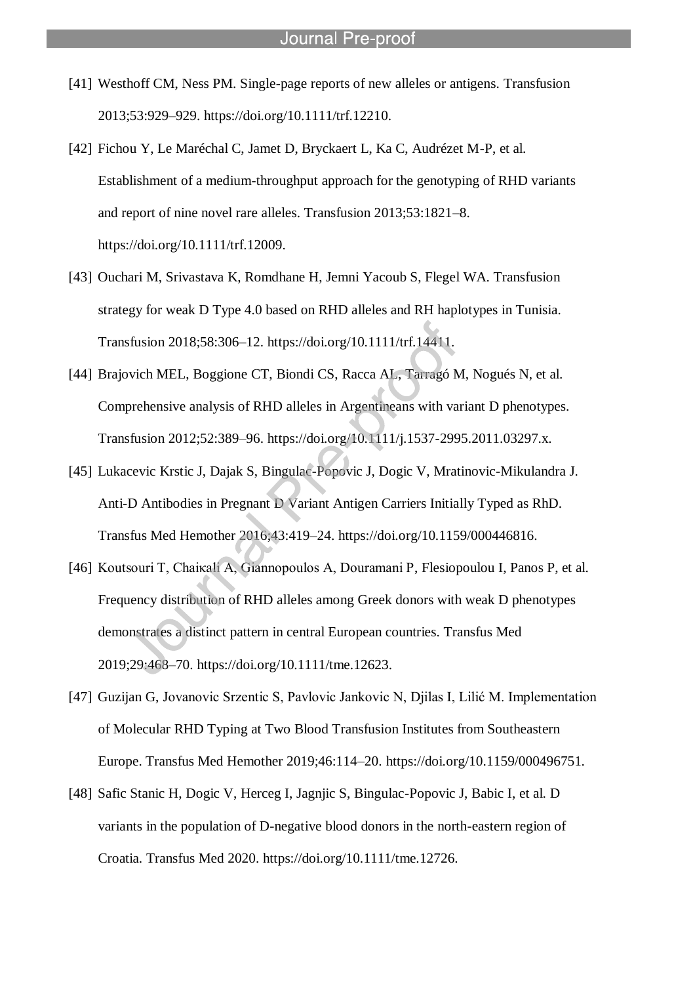[41] Westhoff CM, Ness PM. Single-page reports of new alleles or antigens. Transfusion 2013;53:929–929. https://doi.org/10.1111/trf.12210.

- [42] Fichou Y, Le Maréchal C, Jamet D, Bryckaert L, Ka C, Audrézet M-P, et al. Establishment of a medium-throughput approach for the genotyping of RHD variants and report of nine novel rare alleles. Transfusion 2013;53:1821–8. https://doi.org/10.1111/trf.12009.
- [43] Ouchari M, Srivastava K, Romdhane H, Jemni Yacoub S, Flegel WA. Transfusion strategy for weak D Type 4.0 based on RHD alleles and RH haplotypes in Tunisia. Transfusion 2018;58:306–12. https://doi.org/10.1111/trf.14411.
- [44] Brajovich MEL, Boggione CT, Biondi CS, Racca AL, Tarragó M, Nogués N, et al. Comprehensive analysis of RHD alleles in Argentineans with variant D phenotypes. Transfusion 2012;52:389–96. https://doi.org/10.1111/j.1537-2995.2011.03297.x.
- [45] Lukacevic Krstic J, Dajak S, Bingulac-Popovic J, Dogic V, Mratinovic-Mikulandra J. Anti-D Antibodies in Pregnant D Variant Antigen Carriers Initially Typed as RhD. Transfus Med Hemother 2016;43:419–24. https://doi.org/10.1159/000446816.
- [46] Koutsouri T, Chaiκali A, Giannopoulos A, Douramani P, Flesiopoulou I, Panos P, et al. Frequency distribution of RHD alleles among Greek donors with weak D phenotypes demonstrates a distinct pattern in central European countries. Transfus Med 2019;29:468–70. https://doi.org/10.1111/tme.12623.
- [47] Guzijan G, Jovanovic Srzentic S, Pavlovic Jankovic N, Djilas I, Lilić M. Implementation of Molecular RHD Typing at Two Blood Transfusion Institutes from Southeastern Europe. Transfus Med Hemother 2019;46:114–20. https://doi.org/10.1159/000496751.
- [48] Safic Stanic H, Dogic V, Herceg I, Jagnjic S, Bingulac-Popovic J, Babic I, et al. D variants in the population of D-negative blood donors in the north-eastern region of Croatia. Transfus Med 2020. https://doi.org/10.1111/tme.12726.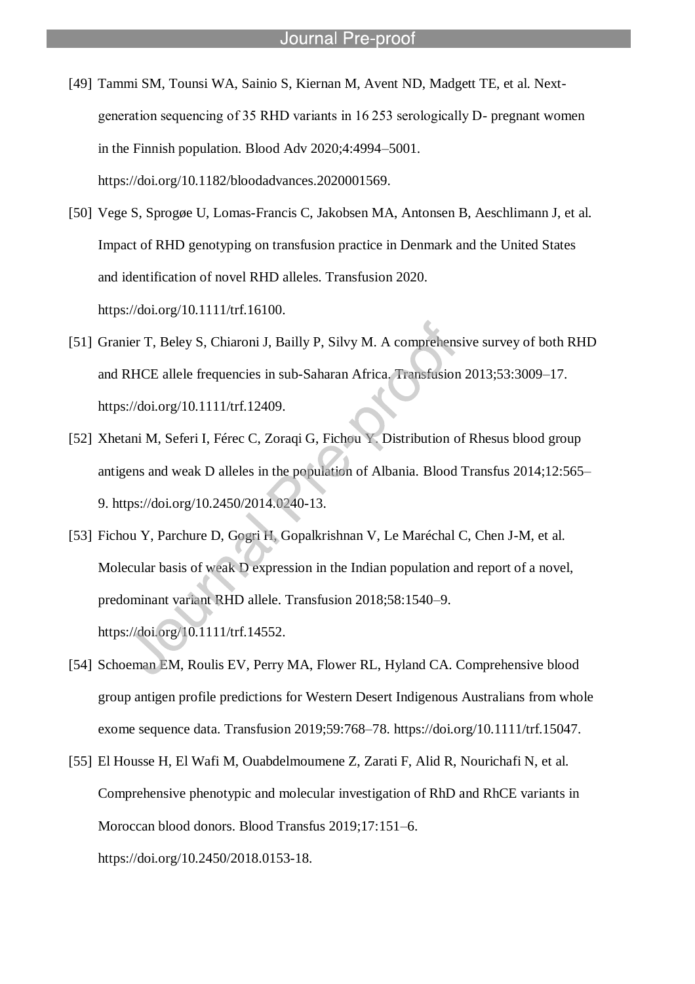[49] Tammi SM, Tounsi WA, Sainio S, Kiernan M, Avent ND, Madgett TE, et al. Nextgeneration sequencing of 35 RHD variants in 16 253 serologically D- pregnant women in the Finnish population. Blood Adv 2020;4:4994–5001. https://doi.org/10.1182/bloodadvances.2020001569.

- [50] Vege S, Sprogøe U, Lomas-Francis C, Jakobsen MA, Antonsen B, Aeschlimann J, et al. Impact of RHD genotyping on transfusion practice in Denmark and the United States and identification of novel RHD alleles. Transfusion 2020. https://doi.org/10.1111/trf.16100.
- [51] Granier T, Beley S, Chiaroni J, Bailly P, Silvy M. A comprehensive survey of both RHD and RHCE allele frequencies in sub-Saharan Africa. Transfusion 2013;53:3009–17. https://doi.org/10.1111/trf.12409.
- [52] Xhetani M, Seferi I, Férec C, Zoraqi G, Fichou Y. Distribution of Rhesus blood group antigens and weak D alleles in the population of Albania. Blood Transfus 2014;12:565– 9. https://doi.org/10.2450/2014.0240-13.
- [53] Fichou Y, Parchure D, Gogri H, Gopalkrishnan V, Le Maréchal C, Chen J-M, et al. Molecular basis of weak D expression in the Indian population and report of a novel, predominant variant RHD allele. Transfusion 2018;58:1540–9. https://doi.org/10.1111/trf.14552.
- [54] Schoeman EM, Roulis EV, Perry MA, Flower RL, Hyland CA. Comprehensive blood group antigen profile predictions for Western Desert Indigenous Australians from whole exome sequence data. Transfusion 2019;59:768–78. https://doi.org/10.1111/trf.15047.
- [55] El Housse H, El Wafi M, Ouabdelmoumene Z, Zarati F, Alid R, Nourichafi N, et al. Comprehensive phenotypic and molecular investigation of RhD and RhCE variants in Moroccan blood donors. Blood Transfus 2019;17:151–6. https://doi.org/10.2450/2018.0153-18.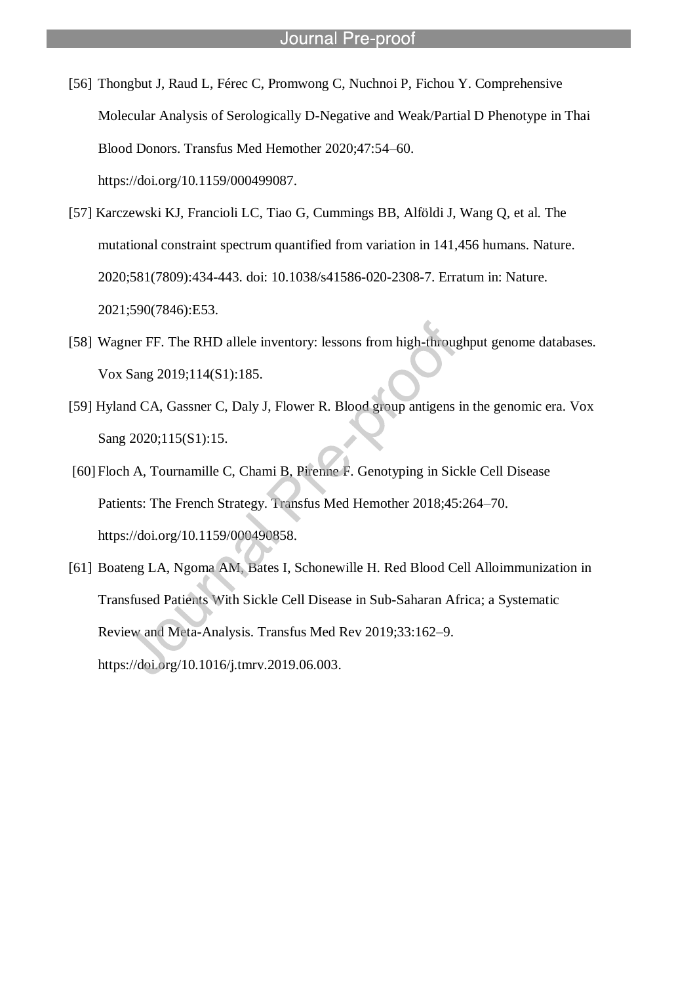[56] Thongbut J, Raud L, Férec C, Promwong C, Nuchnoi P, Fichou Y. Comprehensive Molecular Analysis of Serologically D-Negative and Weak/Partial D Phenotype in Thai Blood Donors. Transfus Med Hemother 2020;47:54–60. https://doi.org/10.1159/000499087.

- [57] Karczewski KJ, Francioli LC, Tiao G, Cummings BB, Alföldi J, Wang Q, et al. The mutational constraint spectrum quantified from variation in 141,456 humans. Nature. 2020;581(7809):434-443. doi: 10.1038/s41586-020-2308-7. Erratum in: Nature. 2021;590(7846):E53.
- [58] Wagner FF. The RHD allele inventory: lessons from high-throughput genome databases. Vox Sang 2019;114(S1):185.
- [59] Hyland CA, Gassner C, Daly J, Flower R. Blood group antigens in the genomic era. Vox Sang 2020;115(S1):15.
- [60] Floch A, Tournamille C, Chami B, Pirenne F. Genotyping in Sickle Cell Disease Patients: The French Strategy. Transfus Med Hemother 2018;45:264–70. https://doi.org/10.1159/000490858.
- [61] Boateng LA, Ngoma AM, Bates I, Schonewille H. Red Blood Cell Alloimmunization in Transfused Patients With Sickle Cell Disease in Sub-Saharan Africa; a Systematic Review and Meta-Analysis. Transfus Med Rev 2019;33:162–9. https://doi.org/10.1016/j.tmrv.2019.06.003.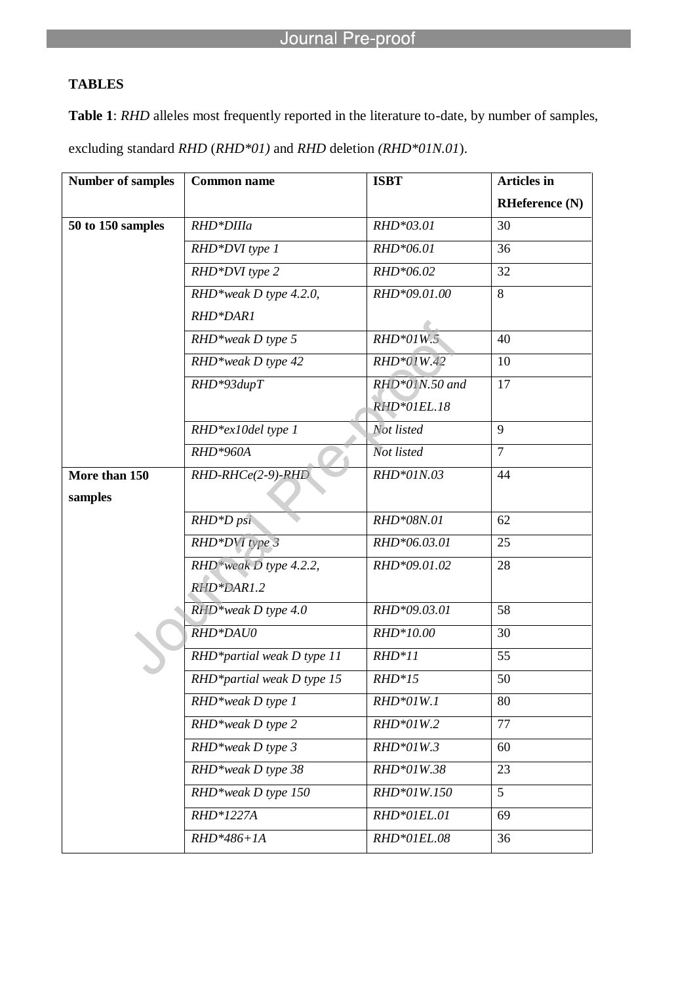l

# **TABLES**

**Table 1**: *RHD* alleles most frequently reported in the literature to-date, by number of samples, excluding standard *RHD* (*RHD\*01)* and *RHD* deletion *(RHD\*01N.01*).

| <b>Number of samples</b> | <b>Common name</b>         | <b>ISBT</b>    | <b>Articles</b> in    |
|--------------------------|----------------------------|----------------|-----------------------|
|                          |                            |                | <b>RHeference</b> (N) |
| 50 to 150 samples        | RHD*DIIIa                  | RHD*03.01      | 30                    |
|                          | RHD*DVI type 1             | RHD*06.01      | 36                    |
|                          | RHD*DVI type 2             | RHD*06.02      | 32                    |
|                          | RHD*weak D type 4.2.0,     | RHD*09.01.00   | 8                     |
|                          | RHD*DAR1                   |                |                       |
|                          | RHD*weak D type 5          | RHD*01W.5      | 40                    |
|                          | RHD*weak D type 42         | RHD*01W.42     | 10                    |
|                          | RHD*93dupT                 | RHD*01N.50 and | 17                    |
|                          |                            | RHD*01EL.18    |                       |
|                          | RHD*ex10del type 1         | Not listed     | 9                     |
|                          | RHD*960A                   | Not listed     | $\overline{7}$        |
| More than 150            | $RHD-RHCe(2-9)-RHD$        | RHD*01N.03     | 44                    |
| samples                  |                            |                |                       |
|                          | RHD*D psi                  | RHD*08N.01     | 62                    |
|                          | RHD*DVI type 3             | RHD*06.03.01   | 25                    |
|                          | RHD*weak D type 4.2.2,     | RHD*09.01.02   | 28                    |
|                          | RHD*DAR1.2                 |                |                       |
|                          | RHD*weak D type 4.0        | RHD*09.03.01   | 58                    |
|                          | RHD*DAU0                   | RHD*10.00      | 30                    |
|                          | RHD*partial weak D type 11 | $RHD*11$       | 55                    |
|                          | RHD*partial weak D type 15 | $RHD*15$       | 50                    |
|                          | RHD*weak D type 1          | RHD*01W.1      | 80                    |
|                          | RHD*weak D type 2          | RHD*01W.2      | 77                    |
|                          | RHD*weak D type 3          | RHD*01W.3      | 60                    |
|                          | RHD*weak D type 38         | RHD*01W.38     | 23                    |
|                          | RHD*weak D type 150        | RHD*01W.150    | 5                     |
|                          | RHD*1227A                  | RHD*01EL.01    | 69                    |
|                          | RHD*486+1A                 | RHD*01EL.08    | 36                    |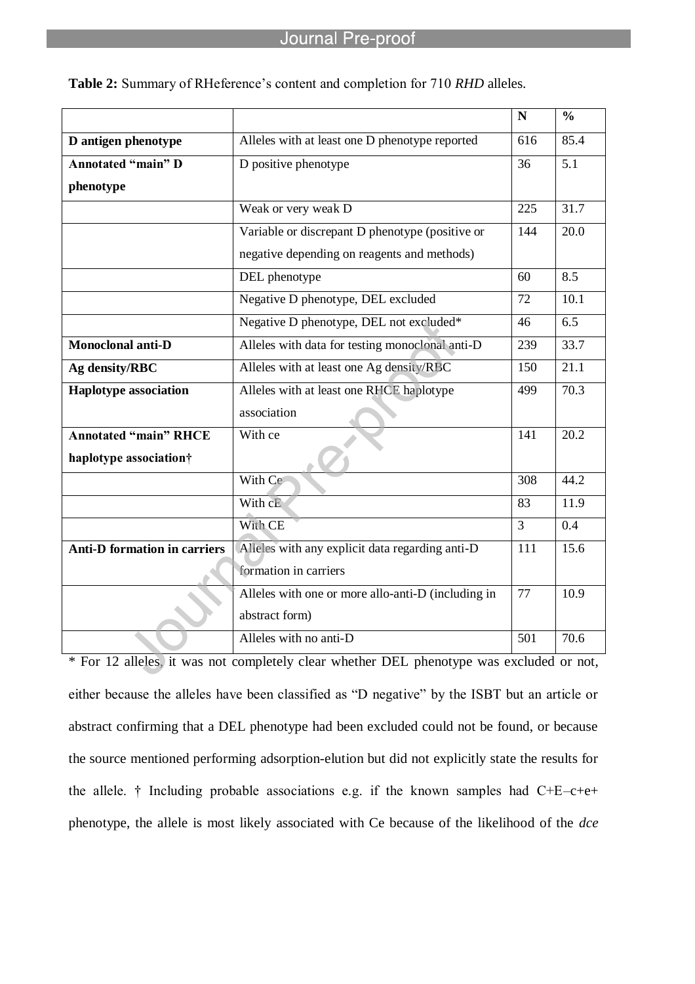|                                     |                                                    | $\mathbf N$    | $\frac{0}{0}$ |
|-------------------------------------|----------------------------------------------------|----------------|---------------|
| D antigen phenotype                 | Alleles with at least one D phenotype reported     | 616            | 85.4          |
| <b>Annotated "main" D</b>           | D positive phenotype                               | 36             | 5.1           |
| phenotype                           |                                                    |                |               |
|                                     | Weak or very weak D                                | 225            | 31.7          |
|                                     | Variable or discrepant D phenotype (positive or    | 144            | 20.0          |
|                                     | negative depending on reagents and methods)        |                |               |
|                                     | DEL phenotype                                      | 60             | 8.5           |
|                                     | Negative D phenotype, DEL excluded                 | 72             | 10.1          |
|                                     | Negative D phenotype, DEL not excluded*            | 46             | 6.5           |
| <b>Monoclonal anti-D</b>            | Alleles with data for testing monoclonal anti-D    | 239            | 33.7          |
| Ag density/RBC                      | Alleles with at least one Ag density/RBC           | 150            | 21.1          |
| <b>Haplotype association</b>        | Alleles with at least one RHCE haplotype           | 499            | 70.3          |
|                                     | association                                        |                |               |
| <b>Annotated "main" RHCE</b>        | With ce                                            | 141            | 20.2          |
| haplotype association†              |                                                    |                |               |
|                                     | With Ce                                            | 308            | 44.2          |
|                                     | With cE                                            | 83             | 11.9          |
|                                     | With CE                                            | $\overline{3}$ | 0.4           |
| <b>Anti-D formation in carriers</b> | Alleles with any explicit data regarding anti-D    | 111            | 15.6          |
|                                     | formation in carriers                              |                |               |
|                                     | Alleles with one or more allo-anti-D (including in | 77             | 10.9          |
|                                     | abstract form)                                     |                |               |
|                                     | Alleles with no anti-D                             | 501            | 70.6          |

Table 2: Summary of RHeference's content and completion for 710 *RHD* alleles.

l

\* For 12 alleles, it was not completely clear whether DEL phenotype was excluded or not, either because the alleles have been classified as "D negative" by the ISBT but an article or abstract confirming that a DEL phenotype had been excluded could not be found, or because the source mentioned performing adsorption-elution but did not explicitly state the results for the allele. † Including probable associations e.g. if the known samples had C+E–c+e+ phenotype, the allele is most likely associated with Ce because of the likelihood of the *dce*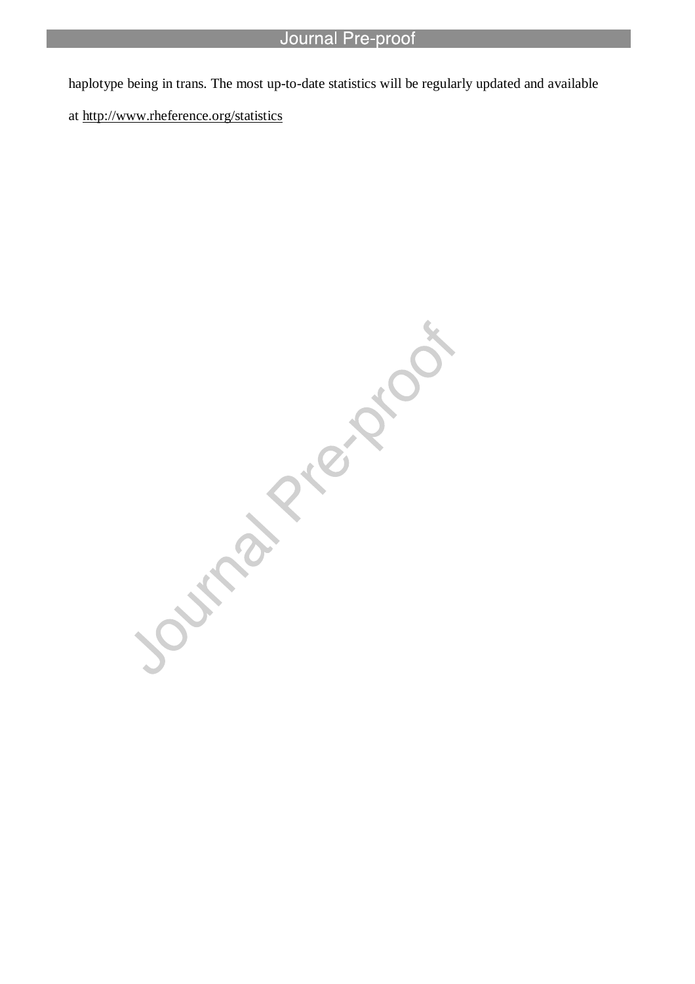haplotype being in trans. The most up-to-date statistics will be regularly updated and available

at http://www.rheference.org/statistics

l

Journal Piechios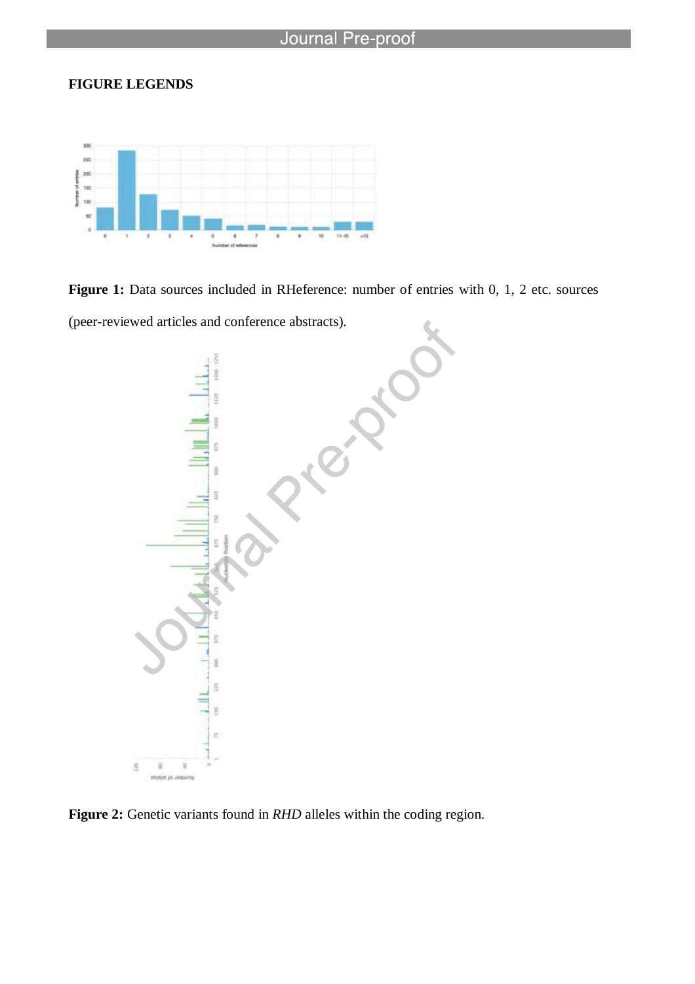# **FIGURE LEGENDS**



l

Figure 1: Data sources included in RHeference: number of entries with 0, 1, 2 etc. sources

(peer-reviewed articles and conference abstracts).



**Figure 2:** Genetic variants found in *RHD* alleles within the coding region.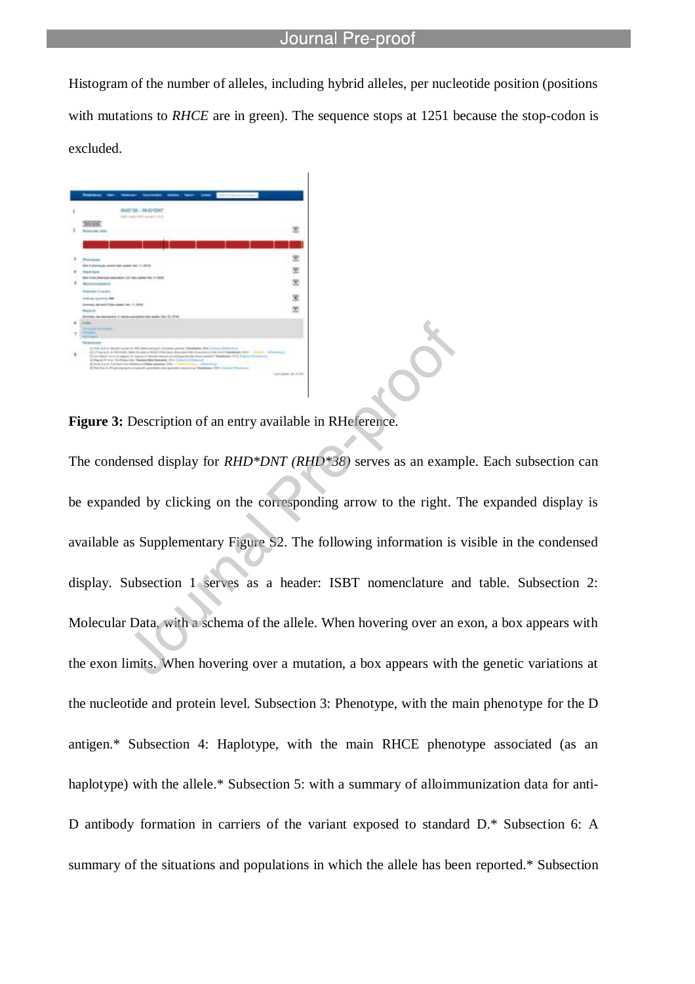Histogram of the number of alleles, including hybrid alleles, per nucleotide position (positions with mutations to *RHCE* are in green). The sequence stops at 1251 because the stop-codon is excluded.



l

**Figure 3:** Description of an entry available in RHeference.

The condensed display for *RHD\*DNT (RHD\*38)* serves as an example. Each subsection can be expanded by clicking on the corresponding arrow to the right. The expanded display is available as Supplementary Figure S2. The following information is visible in the condensed display. Subsection 1 serves as a header: ISBT nomenclature and table. Subsection 2: Molecular Data, with a schema of the allele. When hovering over an exon, a box appears with the exon limits. When hovering over a mutation, a box appears with the genetic variations at the nucleotide and protein level. Subsection 3: Phenotype, with the main phenotype for the D antigen.\* Subsection 4: Haplotype, with the main RHCE phenotype associated (as an haplotype) with the allele.\* Subsection 5: with a summary of alloimmunization data for anti-D antibody formation in carriers of the variant exposed to standard D.\* Subsection 6: A summary of the situations and populations in which the allele has been reported.\* Subsection